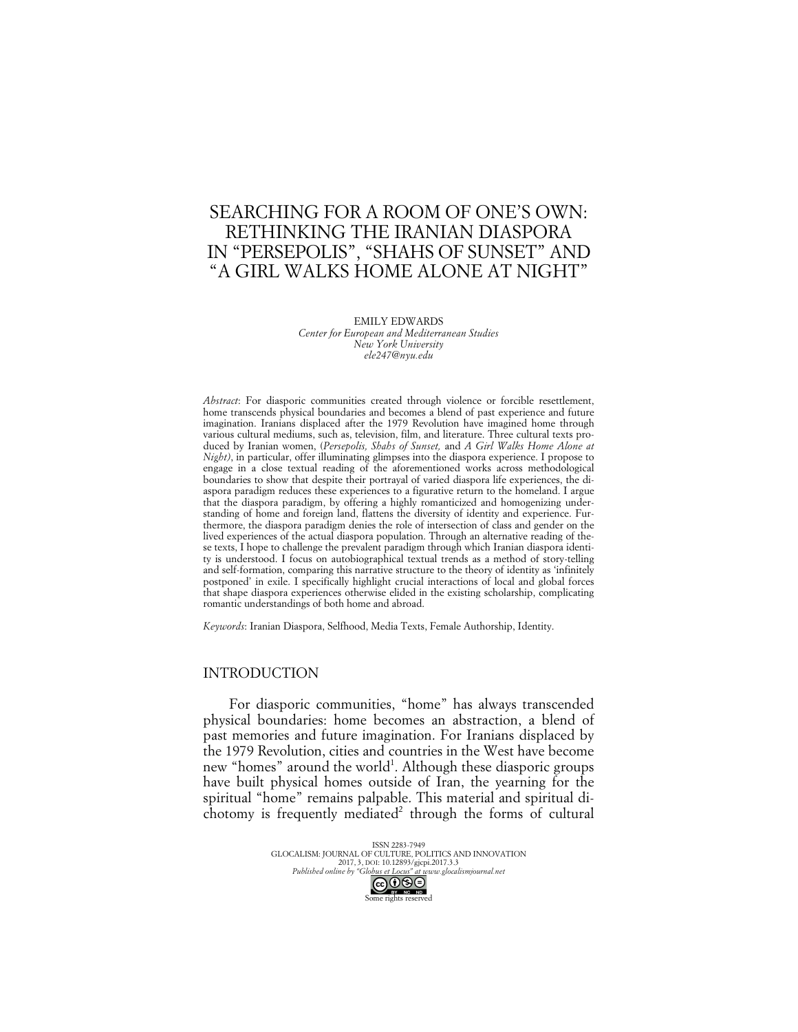# SEARCHING FOR A ROOM OF ONE'S OWN: RETHINKING THE IRANIAN DIASPORA IN "PERSEPOLIS", "SHAHS OF SUNSET" AND "A GIRL WALKS HOME ALONE AT NIGHT"

EMILY EDWARDS *Center for European and Mediterranean Studies New York University ele247@nyu.edu*

*Abstract*: For diasporic communities created through violence or forcible resettlement, home transcends physical boundaries and becomes a blend of past experience and future imagination. Iranians displaced after the 1979 Revolution have imagined home through various cultural mediums, such as, television, film, and literature. Three cultural texts produced by Iranian women, (*Persepolis, Shahs of Sunset,* and *A Girl Walks Home Alone at Night)*, in particular, offer illuminating glimpses into the diaspora experience. I propose to engage in a close textual reading of the aforementioned works across methodological boundaries to show that despite their portrayal of varied diaspora life experiences, the diaspora paradigm reduces these experiences to a figurative return to the homeland. I argue that the diaspora paradigm, by offering a highly romanticized and homogenizing understanding of home and foreign land, flattens the diversity of identity and experience. Furthermore, the diaspora paradigm denies the role of intersection of class and gender on the lived experiences of the actual diaspora population. Through an alternative reading of these texts, I hope to challenge the prevalent paradigm through which Iranian diaspora identity is understood. I focus on autobiographical textual trends as a method of story-telling and self-formation, comparing this narrative structure to the theory of identity as 'infinitely postponed' in exile. I specifically highlight crucial interactions of local and global forces that shape diaspora experiences otherwise elided in the existing scholarship, complicating romantic understandings of both home and abroad.

*Keywords*: Iranian Diaspora, Selfhood, Media Texts, Female Authorship, Identity.

### INTRODUCTION

For diasporic communities, "home" has always transcended physical boundaries: home becomes an abstraction, a blend of past memories and future imagination. For Iranians displaced by the 1979 Revolution, cities and countries in the West have become new "homes" around the world<sup>1</sup>. Although these diasporic groups have built physical homes outside of Iran, the yearning for the spiritual "home" remains palpable. This material and spiritual dichotomy is frequently mediated<sup>2</sup> through the forms of cultural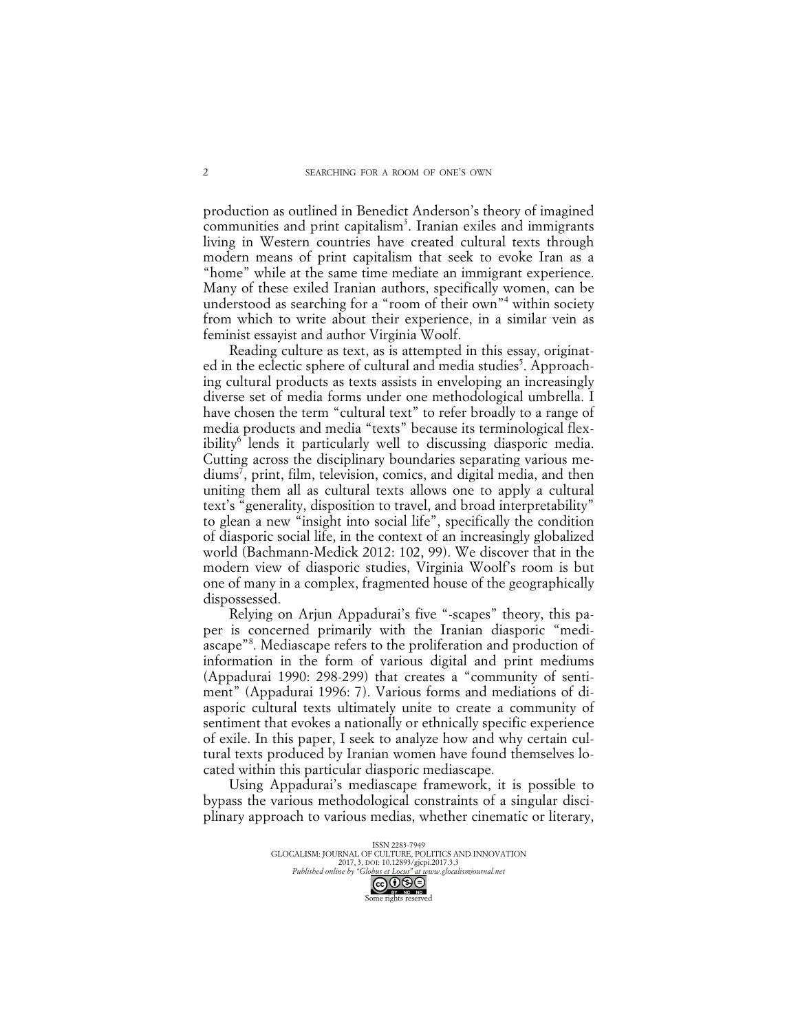production as outlined in Benedict Anderson's theory of imagined communities and print capitalism<sup>3</sup>. Iranian exiles and immigrants living in Western countries have created cultural texts through modern means of print capitalism that seek to evoke Iran as a "home" while at the same time mediate an immigrant experience. Many of these exiled Iranian authors, specifically women, can be understood as searching for a "room of their own"<sup>4</sup> within society from which to write about their experience, in a similar vein as feminist essayist and author Virginia Woolf.

Reading culture as text, as is attempted in this essay, originated in the eclectic sphere of cultural and media studies<sup>5</sup>. Approaching cultural products as texts assists in enveloping an increasingly diverse set of media forms under one methodological umbrella. I have chosen the term "cultural text" to refer broadly to a range of media products and media "texts" because its terminological flexibility<sup>6</sup> lends it particularly well to discussing diasporic media. Cutting across the disciplinary boundaries separating various mediums7 , print, film, television, comics, and digital media, and then uniting them all as cultural texts allows one to apply a cultural text's "generality, disposition to travel, and broad interpretability" to glean a new "insight into social life", specifically the condition of diasporic social life, in the context of an increasingly globalized world (Bachmann-Medick 2012: 102, 99). We discover that in the modern view of diasporic studies, Virginia Woolf's room is but one of many in a complex, fragmented house of the geographically dispossessed.

Relying on Arjun Appadurai's five "-scapes" theory, this paper is concerned primarily with the Iranian diasporic "mediascape"<sup>8</sup>. Mediascape refers to the proliferation and production of information in the form of various digital and print mediums (Appadurai 1990: 298-299) that creates a "community of sentiment" (Appadurai 1996: 7). Various forms and mediations of diasporic cultural texts ultimately unite to create a community of sentiment that evokes a nationally or ethnically specific experience of exile. In this paper, I seek to analyze how and why certain cultural texts produced by Iranian women have found themselves located within this particular diasporic mediascape.

Using Appadurai's mediascape framework, it is possible to bypass the various methodological constraints of a singular disciplinary approach to various medias, whether cinematic or literary,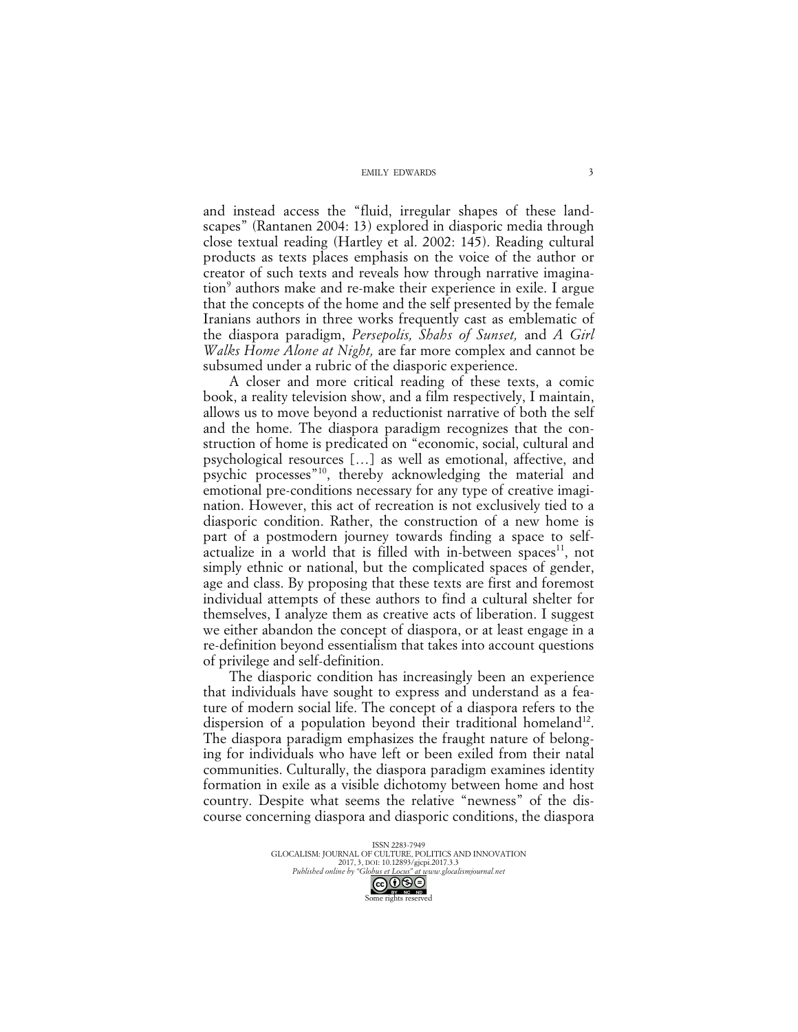and instead access the "fluid, irregular shapes of these landscapes" (Rantanen 2004: 13) explored in diasporic media through close textual reading (Hartley et al. 2002: 145). Reading cultural products as texts places emphasis on the voice of the author or creator of such texts and reveals how through narrative imagination<sup>9</sup> authors make and re-make their experience in exile. I argue that the concepts of the home and the self presented by the female Iranians authors in three works frequently cast as emblematic of the diaspora paradigm, *Persepolis, Shahs of Sunset,* and *A Girl Walks Home Alone at Night,* are far more complex and cannot be subsumed under a rubric of the diasporic experience.

A closer and more critical reading of these texts, a comic book, a reality television show, and a film respectively, I maintain, allows us to move beyond a reductionist narrative of both the self and the home. The diaspora paradigm recognizes that the construction of home is predicated on "economic, social, cultural and psychological resources […] as well as emotional, affective, and psychic processes"<sup>10</sup>, thereby acknowledging the material and emotional pre-conditions necessary for any type of creative imagination. However, this act of recreation is not exclusively tied to a diasporic condition. Rather, the construction of a new home is part of a postmodern journey towards finding a space to selfactualize in a world that is filled with in-between spaces<sup>11</sup>, not simply ethnic or national, but the complicated spaces of gender, age and class. By proposing that these texts are first and foremost individual attempts of these authors to find a cultural shelter for themselves, I analyze them as creative acts of liberation. I suggest we either abandon the concept of diaspora, or at least engage in a re-definition beyond essentialism that takes into account questions of privilege and self-definition.

The diasporic condition has increasingly been an experience that individuals have sought to express and understand as a feature of modern social life. The concept of a diaspora refers to the dispersion of a population beyond their traditional homeland<sup>12</sup>. The diaspora paradigm emphasizes the fraught nature of belonging for individuals who have left or been exiled from their natal communities. Culturally, the diaspora paradigm examines identity formation in exile as a visible dichotomy between home and host country. Despite what seems the relative "newness" of the discourse concerning diaspora and diasporic conditions, the diaspora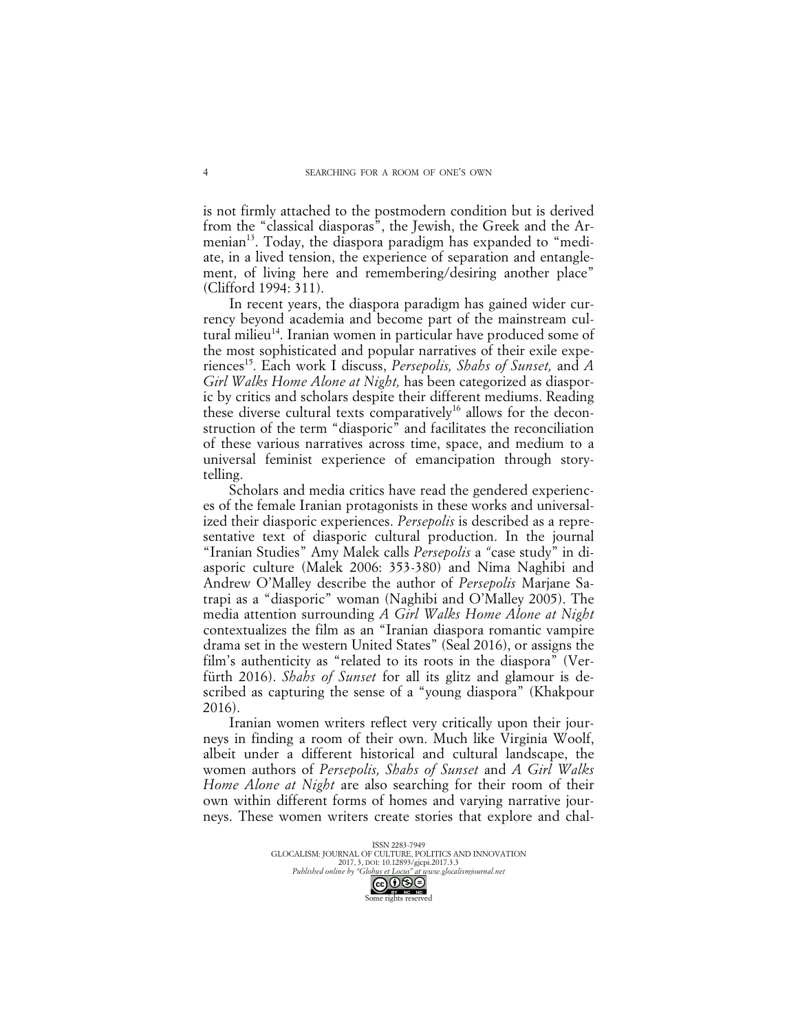is not firmly attached to the postmodern condition but is derived from the "classical diasporas", the Jewish, the Greek and the Armenian<sup>13</sup>. Today, the diaspora paradigm has expanded to "mediate, in a lived tension, the experience of separation and entanglement, of living here and remembering/desiring another place" (Clifford 1994: 311).

In recent years, the diaspora paradigm has gained wider currency beyond academia and become part of the mainstream cultural milieu<sup>14</sup>. Iranian women in particular have produced some of the most sophisticated and popular narratives of their exile experiences15. Each work I discuss, *Persepolis, Shahs of Sunset,* and *A Girl Walks Home Alone at Night,* has been categorized as diasporic by critics and scholars despite their different mediums. Reading these diverse cultural texts comparatively<sup>16</sup> allows for the deconstruction of the term "diasporic" and facilitates the reconciliation of these various narratives across time, space, and medium to a universal feminist experience of emancipation through storytelling.

Scholars and media critics have read the gendered experiences of the female Iranian protagonists in these works and universalized their diasporic experiences. *Persepolis* is described as a representative text of diasporic cultural production. In the journal "Iranian Studies" Amy Malek calls *Persepolis* a *"*case study" in diasporic culture (Malek 2006: 353-380) and Nima Naghibi and Andrew O'Malley describe the author of *Persepolis* Marjane Satrapi as a "diasporic" woman (Naghibi and O'Malley 2005). The media attention surrounding *A Girl Walks Home Alone at Night*  contextualizes the film as an "Iranian diaspora romantic vampire drama set in the western United States" (Seal 2016), or assigns the film's authenticity as "related to its roots in the diaspora" (Verfürth 2016). *Shahs of Sunset* for all its glitz and glamour is described as capturing the sense of a "young diaspora" (Khakpour 2016).

Iranian women writers reflect very critically upon their journeys in finding a room of their own. Much like Virginia Woolf, albeit under a different historical and cultural landscape, the women authors of *Persepolis, Shahs of Sunset* and *A Girl Walks Home Alone at Night* are also searching for their room of their own within different forms of homes and varying narrative journeys. These women writers create stories that explore and chal-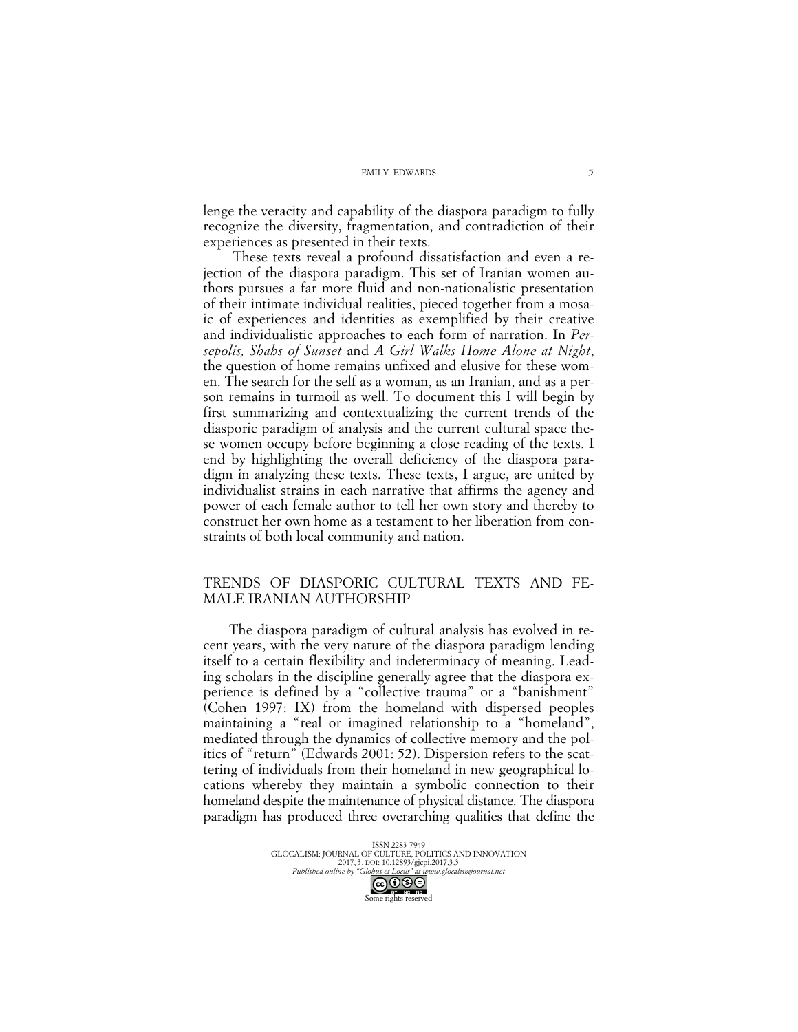lenge the veracity and capability of the diaspora paradigm to fully recognize the diversity, fragmentation, and contradiction of their experiences as presented in their texts.

These texts reveal a profound dissatisfaction and even a rejection of the diaspora paradigm. This set of Iranian women authors pursues a far more fluid and non-nationalistic presentation of their intimate individual realities, pieced together from a mosaic of experiences and identities as exemplified by their creative and individualistic approaches to each form of narration. In *Persepolis, Shahs of Sunset* and *A Girl Walks Home Alone at Night*, the question of home remains unfixed and elusive for these women. The search for the self as a woman, as an Iranian, and as a person remains in turmoil as well. To document this I will begin by first summarizing and contextualizing the current trends of the diasporic paradigm of analysis and the current cultural space these women occupy before beginning a close reading of the texts. I end by highlighting the overall deficiency of the diaspora paradigm in analyzing these texts. These texts, I argue, are united by individualist strains in each narrative that affirms the agency and power of each female author to tell her own story and thereby to construct her own home as a testament to her liberation from constraints of both local community and nation.

## TRENDS OF DIASPORIC CULTURAL TEXTS AND FE-MALE IRANIAN AUTHORSHIP

The diaspora paradigm of cultural analysis has evolved in recent years, with the very nature of the diaspora paradigm lending itself to a certain flexibility and indeterminacy of meaning. Leading scholars in the discipline generally agree that the diaspora experience is defined by a "collective trauma" or a "banishment" (Cohen 1997: IX) from the homeland with dispersed peoples maintaining a "real or imagined relationship to a "homeland", mediated through the dynamics of collective memory and the politics of "return" (Edwards 2001: 52). Dispersion refers to the scattering of individuals from their homeland in new geographical locations whereby they maintain a symbolic connection to their homeland despite the maintenance of physical distance. The diaspora paradigm has produced three overarching qualities that define the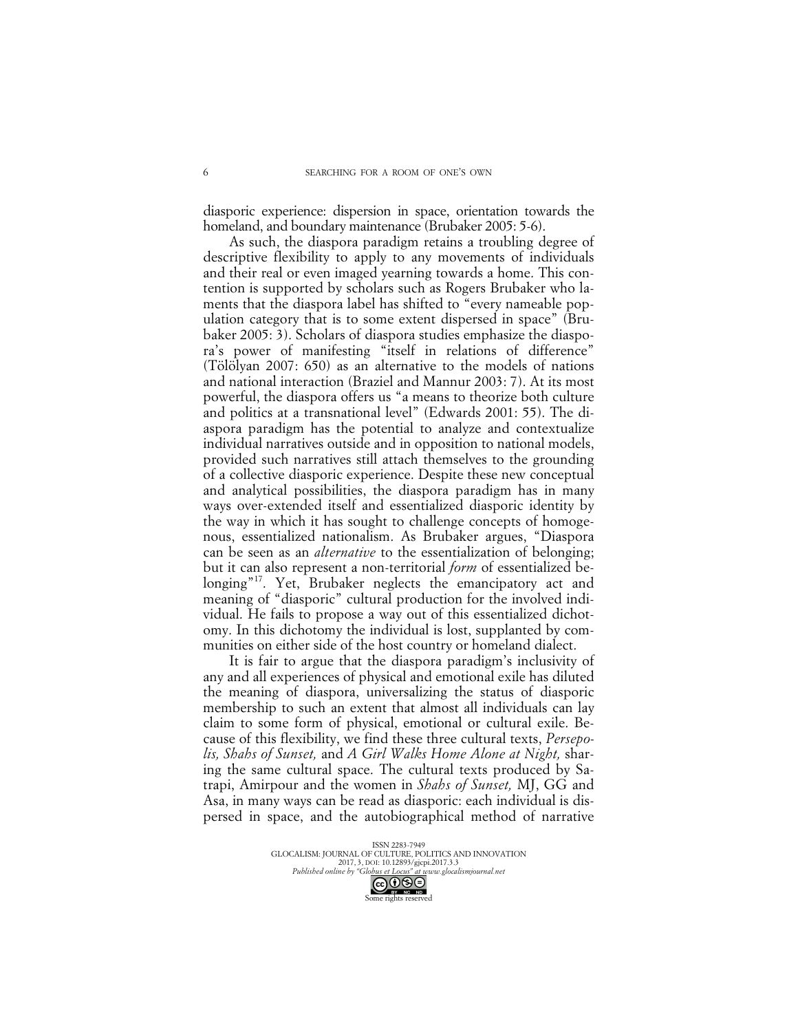diasporic experience: dispersion in space, orientation towards the homeland, and boundary maintenance (Brubaker 2005: 5-6).

As such, the diaspora paradigm retains a troubling degree of descriptive flexibility to apply to any movements of individuals and their real or even imaged yearning towards a home. This contention is supported by scholars such as Rogers Brubaker who laments that the diaspora label has shifted to "every nameable population category that is to some extent dispersed in space" (Brubaker 2005: 3). Scholars of diaspora studies emphasize the diaspora's power of manifesting "itself in relations of difference" (Tölölyan 2007: 650) as an alternative to the models of nations and national interaction (Braziel and Mannur 2003: 7). At its most powerful, the diaspora offers us "a means to theorize both culture and politics at a transnational level" (Edwards 2001: 55). The diaspora paradigm has the potential to analyze and contextualize individual narratives outside and in opposition to national models, provided such narratives still attach themselves to the grounding of a collective diasporic experience. Despite these new conceptual and analytical possibilities, the diaspora paradigm has in many ways over-extended itself and essentialized diasporic identity by the way in which it has sought to challenge concepts of homogenous, essentialized nationalism. As Brubaker argues, "Diaspora can be seen as an *alternative* to the essentialization of belonging; but it can also represent a non-territorial *form* of essentialized belonging"<sup>17</sup>. Yet, Brubaker neglects the emancipatory act and meaning of "diasporic" cultural production for the involved individual. He fails to propose a way out of this essentialized dichotomy. In this dichotomy the individual is lost, supplanted by communities on either side of the host country or homeland dialect.

It is fair to argue that the diaspora paradigm's inclusivity of any and all experiences of physical and emotional exile has diluted the meaning of diaspora, universalizing the status of diasporic membership to such an extent that almost all individuals can lay claim to some form of physical, emotional or cultural exile. Because of this flexibility, we find these three cultural texts, *Persepolis, Shahs of Sunset,* and *A Girl Walks Home Alone at Night,* sharing the same cultural space. The cultural texts produced by Satrapi, Amirpour and the women in *Shahs of Sunset,* MJ, GG and Asa, in many ways can be read as diasporic: each individual is dispersed in space, and the autobiographical method of narrative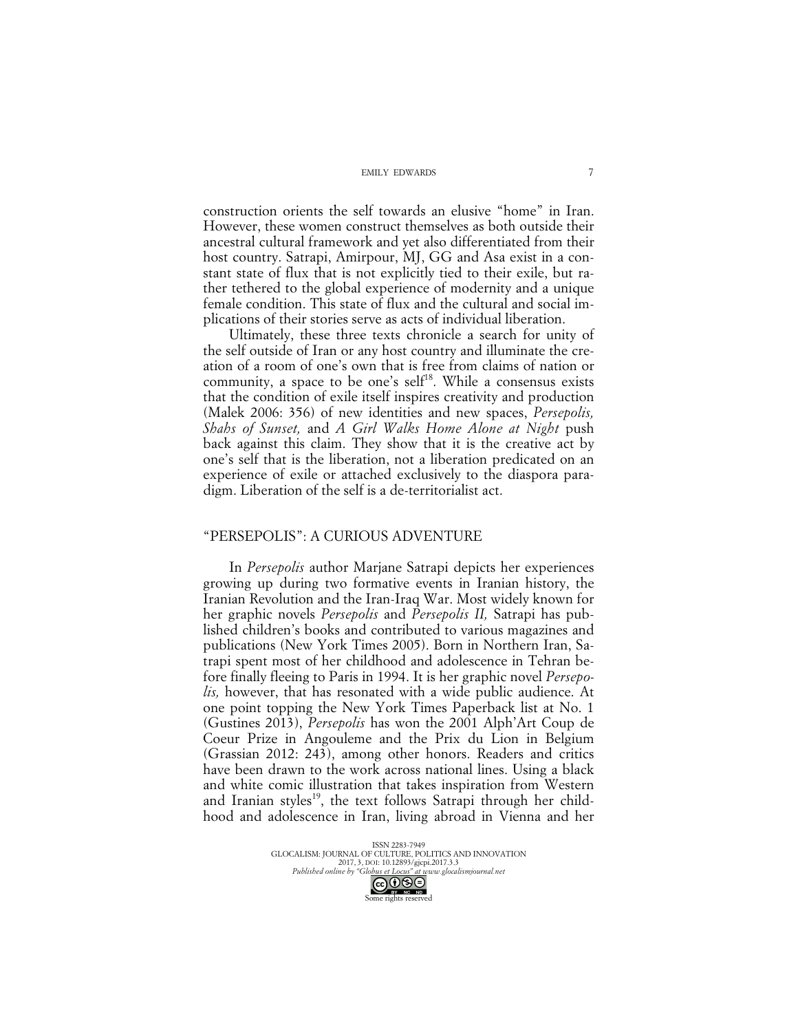construction orients the self towards an elusive "home" in Iran. However, these women construct themselves as both outside their ancestral cultural framework and yet also differentiated from their host country. Satrapi, Amirpour, MJ, GG and Asa exist in a constant state of flux that is not explicitly tied to their exile, but rather tethered to the global experience of modernity and a unique female condition. This state of flux and the cultural and social implications of their stories serve as acts of individual liberation.

Ultimately, these three texts chronicle a search for unity of the self outside of Iran or any host country and illuminate the creation of a room of one's own that is free from claims of nation or community, a space to be one's self<sup>18</sup>. While a consensus exists that the condition of exile itself inspires creativity and production (Malek 2006: 356) of new identities and new spaces, *Persepolis, Shahs of Sunset,* and *A Girl Walks Home Alone at Night* push back against this claim. They show that it is the creative act by one's self that is the liberation, not a liberation predicated on an experience of exile or attached exclusively to the diaspora paradigm. Liberation of the self is a de-territorialist act.

### "PERSEPOLIS": A CURIOUS ADVENTURE

In *Persepolis* author Marjane Satrapi depicts her experiences growing up during two formative events in Iranian history, the Iranian Revolution and the Iran-Iraq War. Most widely known for her graphic novels *Persepolis* and *Persepolis II,* Satrapi has published children's books and contributed to various magazines and publications (New York Times 2005). Born in Northern Iran, Satrapi spent most of her childhood and adolescence in Tehran before finally fleeing to Paris in 1994. It is her graphic novel *Persepolis,* however, that has resonated with a wide public audience. At one point topping the New York Times Paperback list at No. 1 (Gustines 2013), *Persepolis* has won the 2001 Alph'Art Coup de Coeur Prize in Angouleme and the Prix du Lion in Belgium (Grassian 2012: 243), among other honors. Readers and critics have been drawn to the work across national lines. Using a black and white comic illustration that takes inspiration from Western and Iranian styles<sup>19</sup>, the text follows Satrapi through her childhood and adolescence in Iran, living abroad in Vienna and her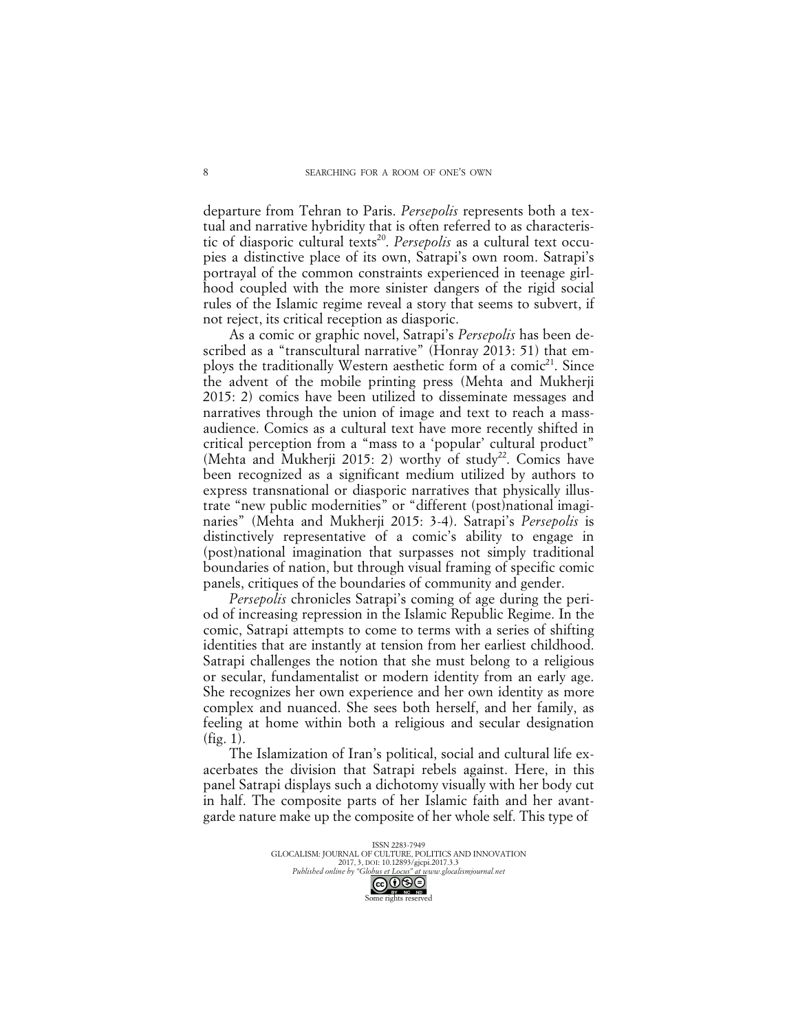departure from Tehran to Paris. *Persepolis* represents both a textual and narrative hybridity that is often referred to as characteristic of diasporic cultural texts 20. *Persepolis* as a cultural text occupies a distinctive place of its own, Satrapi's own room. Satrapi's portrayal of the common constraints experienced in teenage girlhood coupled with the more sinister dangers of the rigid social rules of the Islamic regime reveal a story that seems to subvert, if not reject, its critical reception as diasporic.

As a comic or graphic novel, Satrapi's *Persepolis* has been described as a "transcultural narrative" (Honray 2013: 51) that employs the traditionally Western aesthetic form of a comic<sup>21</sup>. Since the advent of the mobile printing press (Mehta and Mukherji 2015: 2) comics have been utilized to disseminate messages and narratives through the union of image and text to reach a massaudience. Comics as a cultural text have more recently shifted in critical perception from a "mass to a 'popular' cultural product" (Mehta and Mukherji 2015: 2) worthy of study<sup>22</sup>. Comics have been recognized as a significant medium utilized by authors to express transnational or diasporic narratives that physically illustrate "new public modernities" or "different (post)national imaginaries" (Mehta and Mukherji 2015: 3-4). Satrapi's *Persepolis* is distinctively representative of a comic's ability to engage in (post)national imagination that surpasses not simply traditional boundaries of nation, but through visual framing of specific comic panels, critiques of the boundaries of community and gender.

*Persepolis* chronicles Satrapi's coming of age during the period of increasing repression in the Islamic Republic Regime. In the comic, Satrapi attempts to come to terms with a series of shifting identities that are instantly at tension from her earliest childhood. Satrapi challenges the notion that she must belong to a religious or secular, fundamentalist or modern identity from an early age. She recognizes her own experience and her own identity as more complex and nuanced. She sees both herself, and her family, as feeling at home within both a religious and secular designation (fig. 1).

The Islamization of Iran's political, social and cultural life exacerbates the division that Satrapi rebels against. Here, in this panel Satrapi displays such a dichotomy visually with her body cut in half. The composite parts of her Islamic faith and her avantgarde nature make up the composite of her whole self. This type of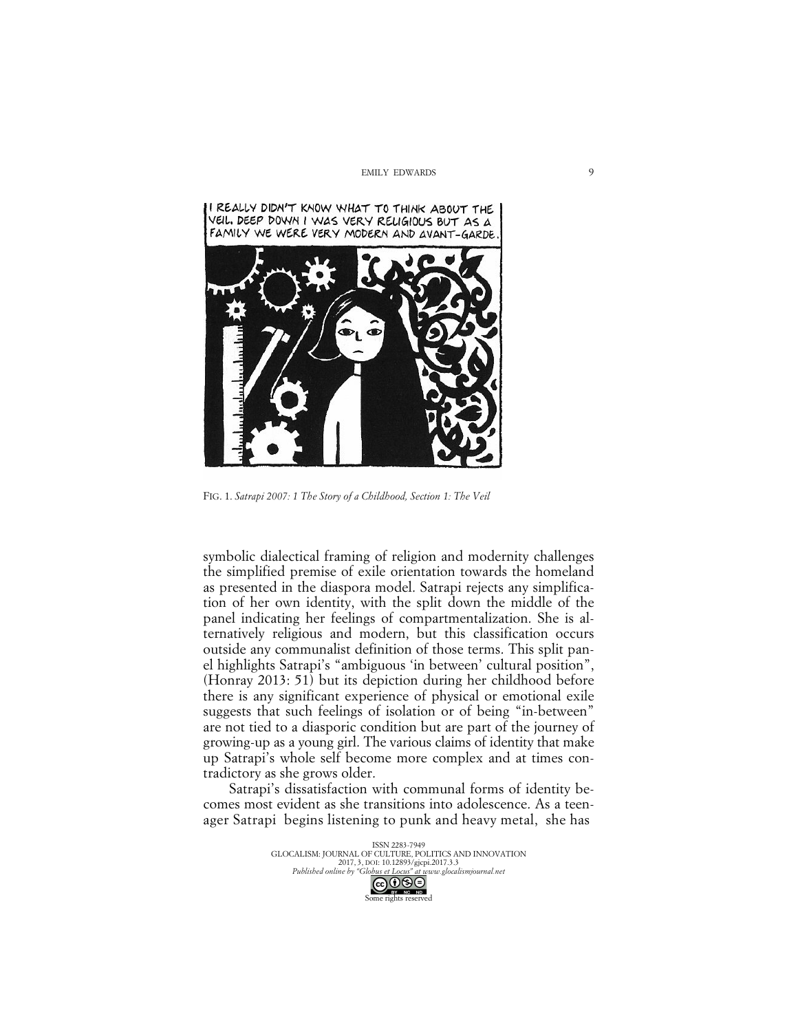

FIG. 1. *Satrapi 2007: 1 The Story of a Childhood, Section 1: The Veil*

symbolic dialectical framing of religion and modernity challenges the simplified premise of exile orientation towards the homeland as presented in the diaspora model. Satrapi rejects any simplification of her own identity, with the split down the middle of the panel indicating her feelings of compartmentalization. She is alternatively religious and modern, but this classification occurs outside any communalist definition of those terms. This split panel highlights Satrapi's "ambiguous 'in between' cultural position", (Honray 2013: 51) but its depiction during her childhood before there is any significant experience of physical or emotional exile suggests that such feelings of isolation or of being "in-between" are not tied to a diasporic condition but are part of the journey of growing-up as a young girl. The various claims of identity that make up Satrapi's whole self become more complex and at times contradictory as she grows older.

Satrapi's dissatisfaction with communal forms of identity becomes most evident as she transitions into adolescence. As a teenager Satrapi begins listening to punk and heavy metal, she has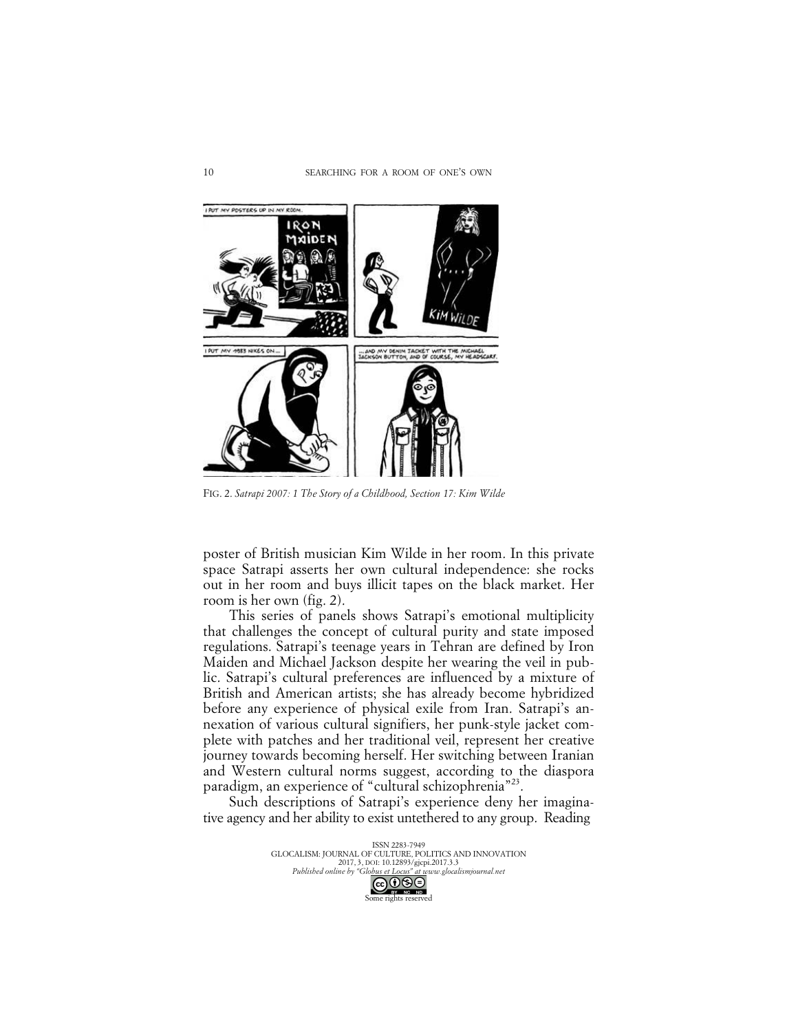

FIG. 2. *Satrapi 2007: 1 The Story of a Childhood, Section 17: Kim Wilde*

poster of British musician Kim Wilde in her room. In this private space Satrapi asserts her own cultural independence: she rocks out in her room and buys illicit tapes on the black market. Her room is her own (fig. 2).

This series of panels shows Satrapi's emotional multiplicity that challenges the concept of cultural purity and state imposed regulations. Satrapi's teenage years in Tehran are defined by Iron Maiden and Michael Jackson despite her wearing the veil in public. Satrapi's cultural preferences are influenced by a mixture of British and American artists; she has already become hybridized before any experience of physical exile from Iran. Satrapi's annexation of various cultural signifiers, her punk-style jacket complete with patches and her traditional veil, represent her creative journey towards becoming herself. Her switching between Iranian and Western cultural norms suggest, according to the diaspora paradigm, an experience of "cultural schizophrenia"<sup>23</sup>.

Such descriptions of Satrapi's experience deny her imaginative agency and her ability to exist untethered to any group. Reading

> ISSN 2283-7949<br>GLOCALISM: JOURNAL OF CULTURE, POLITICS AND INNOVATION 2017, 3, DOI: 10.12893/gjcpi.2017.3.3 *Published online by "Globus et Locus" at www.glocalismjournal.net*  $\bigcirc$   $\bigcirc$   $\bigcirc$   $\bigcirc$ me rights reserved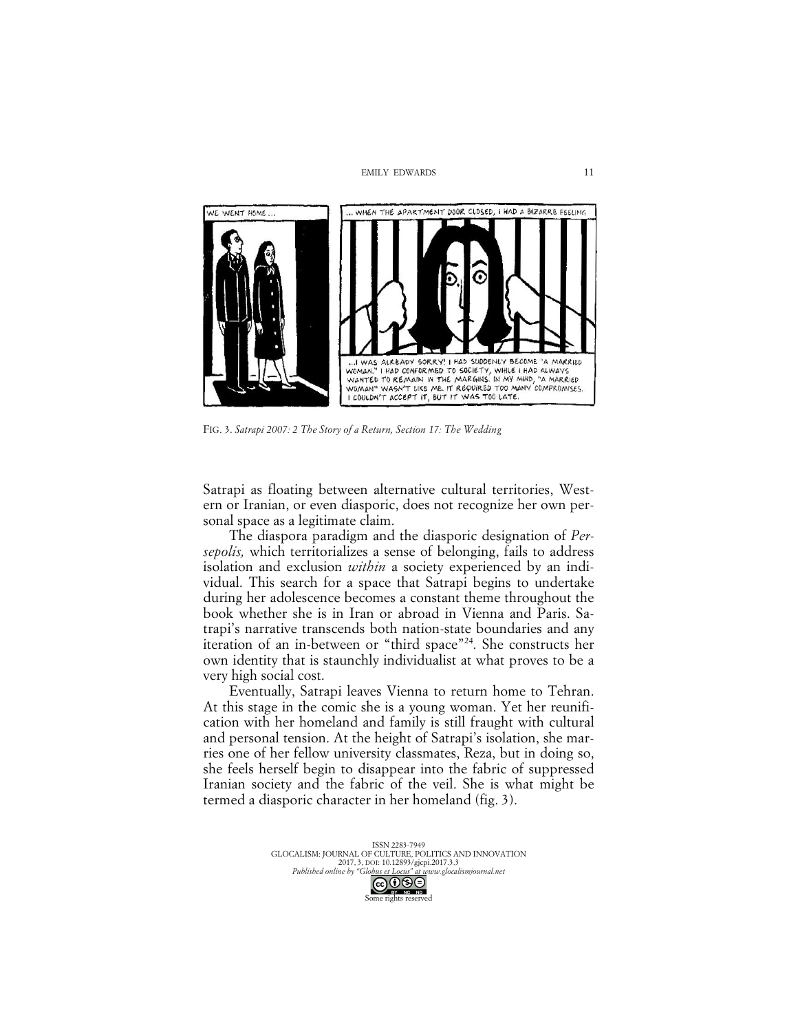

FIG. 3. *Satrapi 2007: 2 The Story of a Return, Section 17: The Wedding*

Satrapi as floating between alternative cultural territories, Western or Iranian, or even diasporic, does not recognize her own personal space as a legitimate claim.

The diaspora paradigm and the diasporic designation of *Persepolis,* which territorializes a sense of belonging, fails to address isolation and exclusion *within* a society experienced by an individual. This search for a space that Satrapi begins to undertake during her adolescence becomes a constant theme throughout the book whether she is in Iran or abroad in Vienna and Paris. Satrapi's narrative transcends both nation-state boundaries and any iteration of an in-between or "third space"<sup>24</sup>. She constructs her own identity that is staunchly individualist at what proves to be a very high social cost.

Eventually, Satrapi leaves Vienna to return home to Tehran. At this stage in the comic she is a young woman. Yet her reunification with her homeland and family is still fraught with cultural and personal tension. At the height of Satrapi's isolation, she marries one of her fellow university classmates, Reza, but in doing so, she feels herself begin to disappear into the fabric of suppressed Iranian society and the fabric of the veil. She is what might be termed a diasporic character in her homeland (fig. 3).

> ISSN 2283-7949 GLOCALISM: JOURNAL OF CULTURE, POLITICS AND INNOVATION 2017, 3, DOI: 10.12893/gjcpi.2017.3.3 *Published online by "Globus et Locus" at www.glocalismjournal.net*  $\bigodot$   $\bigodot$   $\bigodot$   $\bigodot$   $\bigodot$ <br>me rights reserved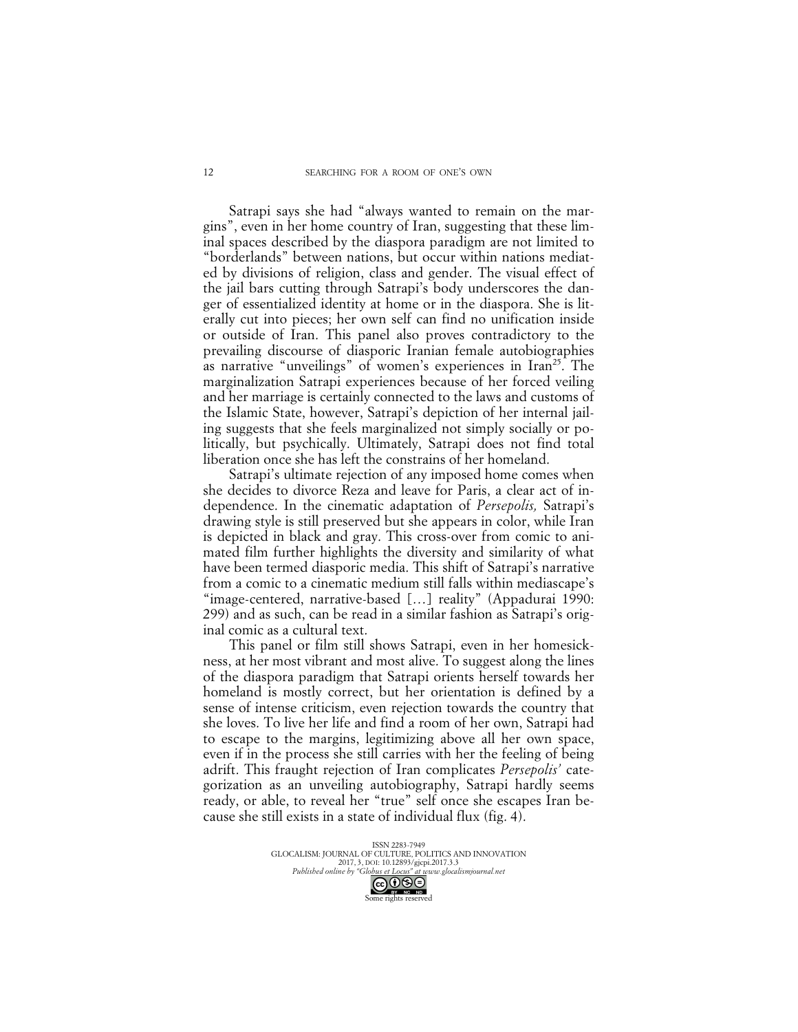Satrapi says she had "always wanted to remain on the margins", even in her home country of Iran, suggesting that these liminal spaces described by the diaspora paradigm are not limited to "borderlands" between nations, but occur within nations mediated by divisions of religion, class and gender. The visual effect of the jail bars cutting through Satrapi's body underscores the danger of essentialized identity at home or in the diaspora. She is literally cut into pieces; her own self can find no unification inside or outside of Iran. This panel also proves contradictory to the prevailing discourse of diasporic Iranian female autobiographies as narrative "unveilings" of women's experiences in  $\text{Iran}^{25}$ . The marginalization Satrapi experiences because of her forced veiling and her marriage is certainly connected to the laws and customs of the Islamic State, however, Satrapi's depiction of her internal jailing suggests that she feels marginalized not simply socially or politically, but psychically. Ultimately, Satrapi does not find total liberation once she has left the constrains of her homeland.

Satrapi's ultimate rejection of any imposed home comes when she decides to divorce Reza and leave for Paris, a clear act of independence. In the cinematic adaptation of *Persepolis,* Satrapi's drawing style is still preserved but she appears in color, while Iran is depicted in black and gray. This cross-over from comic to animated film further highlights the diversity and similarity of what have been termed diasporic media. This shift of Satrapi's narrative from a comic to a cinematic medium still falls within mediascape's "image-centered, narrative-based […] reality" (Appadurai 1990: 299) and as such, can be read in a similar fashion as Satrapi's original comic as a cultural text.

This panel or film still shows Satrapi, even in her homesickness, at her most vibrant and most alive. To suggest along the lines of the diaspora paradigm that Satrapi orients herself towards her homeland is mostly correct, but her orientation is defined by a sense of intense criticism, even rejection towards the country that she loves. To live her life and find a room of her own, Satrapi had to escape to the margins, legitimizing above all her own space, even if in the process she still carries with her the feeling of being adrift. This fraught rejection of Iran complicates *Persepolis'* categorization as an unveiling autobiography, Satrapi hardly seems ready, or able, to reveal her "true" self once she escapes Iran because she still exists in a state of individual flux (fig. 4).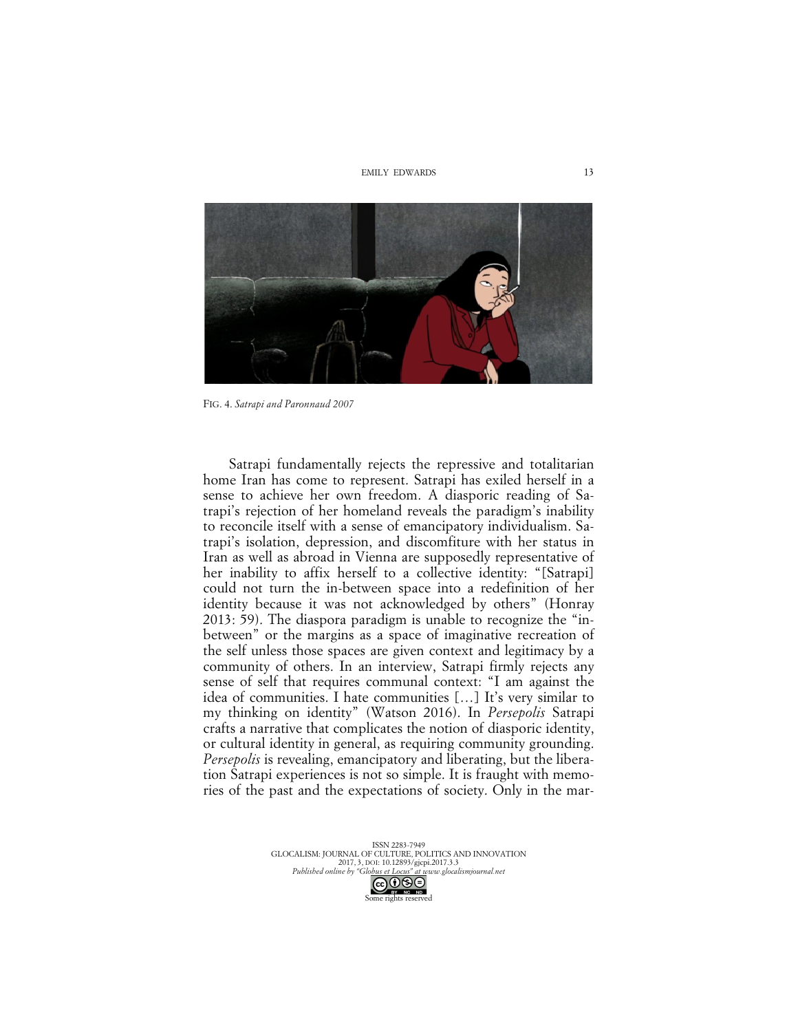

FIG. 4. *Satrapi and Paronnaud 2007*

Satrapi fundamentally rejects the repressive and totalitarian home Iran has come to represent. Satrapi has exiled herself in a sense to achieve her own freedom. A diasporic reading of Satrapi's rejection of her homeland reveals the paradigm's inability to reconcile itself with a sense of emancipatory individualism. Satrapi's isolation, depression, and discomfiture with her status in Iran as well as abroad in Vienna are supposedly representative of her inability to affix herself to a collective identity: "[Satrapi] could not turn the in-between space into a redefinition of her identity because it was not acknowledged by others" (Honray 2013: 59). The diaspora paradigm is unable to recognize the "inbetween" or the margins as a space of imaginative recreation of the self unless those spaces are given context and legitimacy by a community of others. In an interview, Satrapi firmly rejects any sense of self that requires communal context: "I am against the idea of communities. I hate communities […] It's very similar to my thinking on identity" (Watson 2016). In *Persepolis* Satrapi crafts a narrative that complicates the notion of diasporic identity, or cultural identity in general, as requiring community grounding. *Persepolis* is revealing, emancipatory and liberating, but the liberation Satrapi experiences is not so simple. It is fraught with memories of the past and the expectations of society. Only in the mar-

> ISSN 2283-7949 GLOCALISM: JOURNAL OF CULTURE, POLITICS AND INNOVATION 2017, 3, DOI: 10.12893/gjcpi.2017.3.3 *Published online by "Globus et Locus" at www.glocalismjournal.net*  $\bigcirc$   $\bigcirc$   $\bigcirc$

me rights reserved

13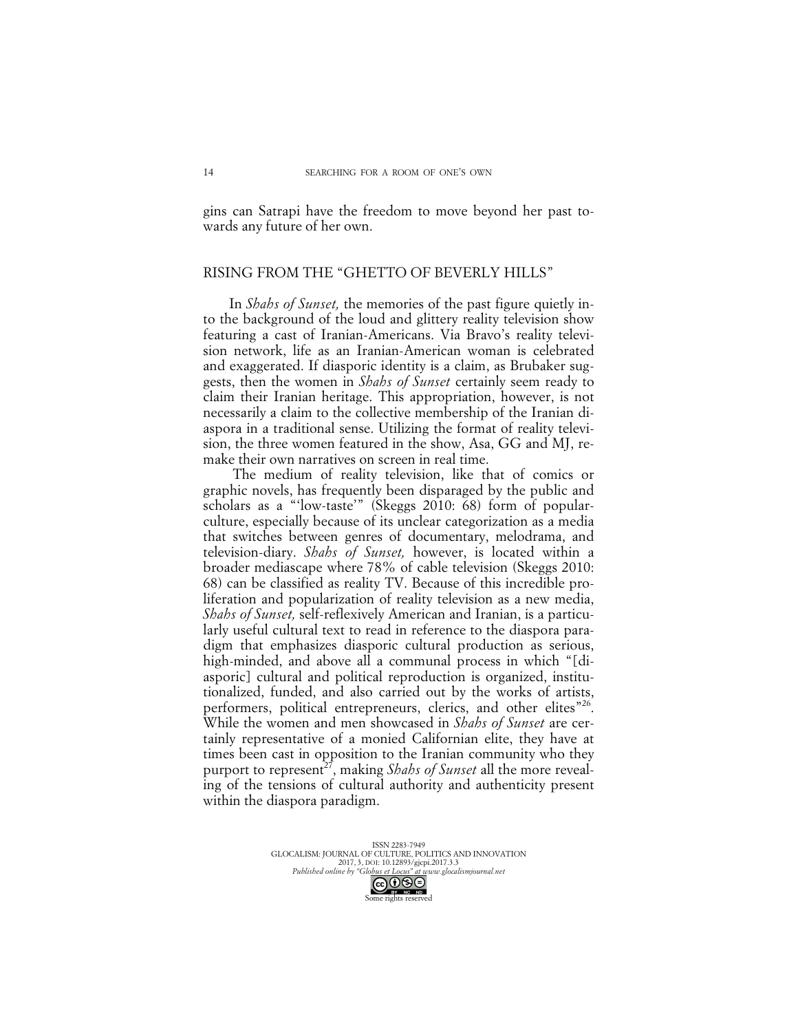gins can Satrapi have the freedom to move beyond her past towards any future of her own.

### RISING FROM THE "GHETTO OF BEVERLY HILLS"

In *Shahs of Sunset,* the memories of the past figure quietly into the background of the loud and glittery reality television show featuring a cast of Iranian-Americans. Via Bravo's reality television network, life as an Iranian-American woman is celebrated and exaggerated. If diasporic identity is a claim, as Brubaker suggests, then the women in *Shahs of Sunset* certainly seem ready to claim their Iranian heritage. This appropriation, however, is not necessarily a claim to the collective membership of the Iranian diaspora in a traditional sense. Utilizing the format of reality television, the three women featured in the show, Asa, GG and MJ, remake their own narratives on screen in real time.

The medium of reality television, like that of comics or graphic novels, has frequently been disparaged by the public and scholars as a "'low-taste'" (Skeggs 2010: 68) form of popularculture, especially because of its unclear categorization as a media that switches between genres of documentary, melodrama, and television-diary. *Shahs of Sunset,* however, is located within a broader mediascape where 78% of cable television (Skeggs 2010: 68) can be classified as reality TV. Because of this incredible proliferation and popularization of reality television as a new media, *Shahs of Sunset,* self-reflexively American and Iranian, is a particularly useful cultural text to read in reference to the diaspora paradigm that emphasizes diasporic cultural production as serious, high-minded, and above all a communal process in which "[diasporic] cultural and political reproduction is organized, institutionalized, funded, and also carried out by the works of artists, performers, political entrepreneurs, clerics, and other elites"26. While the women and men showcased in *Shahs of Sunset* are certainly representative of a monied Californian elite, they have at times been cast in opposition to the Iranian community who they purport to represent<sup>27</sup>, making *Shahs of Sunset* all the more revealing of the tensions of cultural authority and authenticity present within the diaspora paradigm.

Some rights reserved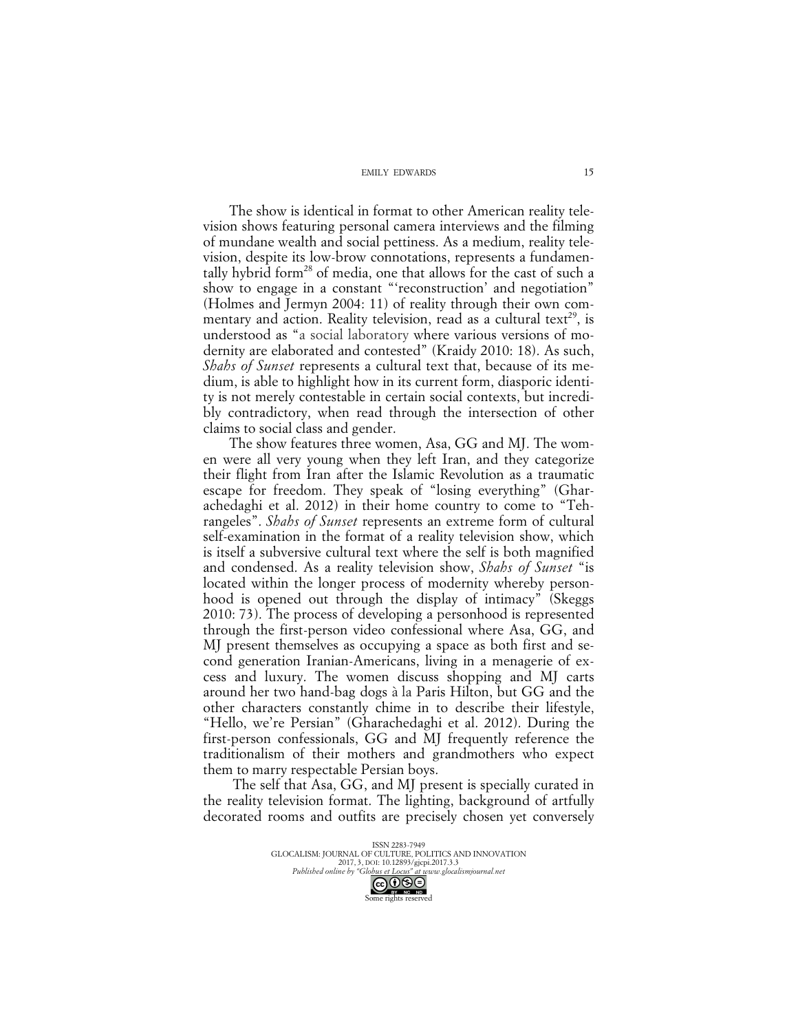The show is identical in format to other American reality television shows featuring personal camera interviews and the filming of mundane wealth and social pettiness. As a medium, reality television, despite its low-brow connotations, represents a fundamentally hybrid form<sup>28</sup> of media, one that allows for the cast of such a show to engage in a constant "'reconstruction' and negotiation" (Holmes and Jermyn 2004: 11) of reality through their own commentary and action. Reality television, read as a cultural text<sup>29</sup>, is understood as "a social laboratory where various versions of modernity are elaborated and contested" (Kraidy 2010: 18). As such, *Shahs of Sunset* represents a cultural text that, because of its medium, is able to highlight how in its current form, diasporic identity is not merely contestable in certain social contexts, but incredibly contradictory, when read through the intersection of other claims to social class and gender.

The show features three women, Asa, GG and MJ. The women were all very young when they left Iran, and they categorize their flight from Iran after the Islamic Revolution as a traumatic escape for freedom. They speak of "losing everything" (Gharachedaghi et al. 2012) in their home country to come to "Tehrangeles". *Shahs of Sunset* represents an extreme form of cultural self-examination in the format of a reality television show, which is itself a subversive cultural text where the self is both magnified and condensed. As a reality television show, *Shahs of Sunset* "is located within the longer process of modernity whereby personhood is opened out through the display of intimacy" (Skeggs 2010: 73). The process of developing a personhood is represented through the first-person video confessional where Asa, GG, and MJ present themselves as occupying a space as both first and second generation Iranian-Americans, living in a menagerie of excess and luxury. The women discuss shopping and MJ carts around her two hand-bag dogs à la Paris Hilton, but GG and the other characters constantly chime in to describe their lifestyle, "Hello, we're Persian" (Gharachedaghi et al. 2012). During the first-person confessionals, GG and MJ frequently reference the traditionalism of their mothers and grandmothers who expect them to marry respectable Persian boys.

The self that Asa, GG, and MJ present is specially curated in the reality television format. The lighting, background of artfully decorated rooms and outfits are precisely chosen yet conversely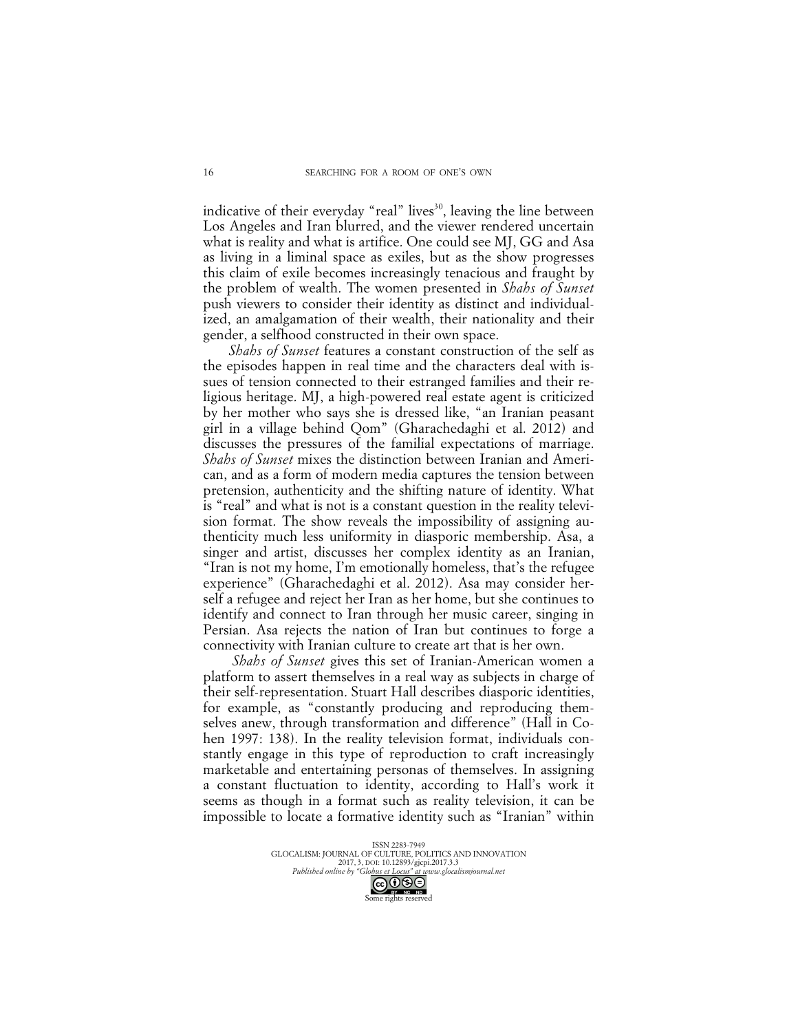indicative of their everyday "real" lives<sup>30</sup>, leaving the line between Los Angeles and Iran blurred, and the viewer rendered uncertain what is reality and what is artifice. One could see MJ, GG and Asa as living in a liminal space as exiles, but as the show progresses this claim of exile becomes increasingly tenacious and fraught by the problem of wealth. The women presented in *Shahs of Sunset*  push viewers to consider their identity as distinct and individualized, an amalgamation of their wealth, their nationality and their gender, a selfhood constructed in their own space.

*Shahs of Sunset* features a constant construction of the self as the episodes happen in real time and the characters deal with issues of tension connected to their estranged families and their religious heritage. MJ, a high-powered real estate agent is criticized by her mother who says she is dressed like, "an Iranian peasant girl in a village behind Qom" (Gharachedaghi et al. 2012) and discusses the pressures of the familial expectations of marriage. *Shahs of Sunset* mixes the distinction between Iranian and American, and as a form of modern media captures the tension between pretension, authenticity and the shifting nature of identity. What is "real" and what is not is a constant question in the reality television format. The show reveals the impossibility of assigning authenticity much less uniformity in diasporic membership. Asa, a singer and artist, discusses her complex identity as an Iranian, "Iran is not my home, I'm emotionally homeless, that's the refugee experience" (Gharachedaghi et al. 2012). Asa may consider herself a refugee and reject her Iran as her home, but she continues to identify and connect to Iran through her music career, singing in Persian. Asa rejects the nation of Iran but continues to forge a connectivity with Iranian culture to create art that is her own.

*Shahs of Sunset* gives this set of Iranian-American women a platform to assert themselves in a real way as subjects in charge of their self-representation. Stuart Hall describes diasporic identities, for example, as "constantly producing and reproducing themselves anew, through transformation and difference" (Hall in Cohen 1997: 138). In the reality television format, individuals constantly engage in this type of reproduction to craft increasingly marketable and entertaining personas of themselves. In assigning a constant fluctuation to identity, according to Hall's work it seems as though in a format such as reality television, it can be impossible to locate a formative identity such as "Iranian" within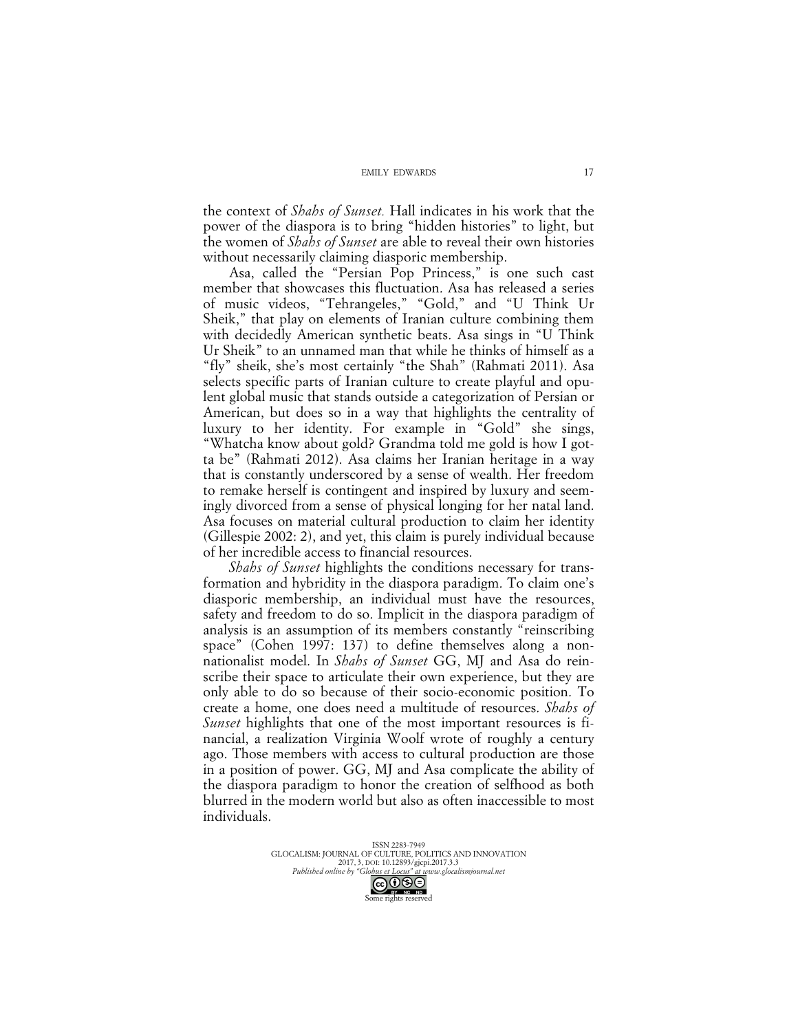the context of *Shahs of Sunset.* Hall indicates in his work that the power of the diaspora is to bring "hidden histories" to light, but the women of *Shahs of Sunset* are able to reveal their own histories without necessarily claiming diasporic membership.

Asa, called the "Persian Pop Princess," is one such cast member that showcases this fluctuation. Asa has released a series of music videos, "Tehrangeles," "Gold," and "U Think Ur Sheik," that play on elements of Iranian culture combining them with decidedly American synthetic beats. Asa sings in "U Think Ur Sheik" to an unnamed man that while he thinks of himself as a "fly" sheik, she's most certainly "the Shah" (Rahmati 2011). Asa selects specific parts of Iranian culture to create playful and opulent global music that stands outside a categorization of Persian or American, but does so in a way that highlights the centrality of luxury to her identity. For example in "Gold" she sings, "Whatcha know about gold? Grandma told me gold is how I gotta be" (Rahmati 2012). Asa claims her Iranian heritage in a way that is constantly underscored by a sense of wealth. Her freedom to remake herself is contingent and inspired by luxury and seemingly divorced from a sense of physical longing for her natal land. Asa focuses on material cultural production to claim her identity (Gillespie 2002: 2), and yet, this claim is purely individual because of her incredible access to financial resources.

*Shahs of Sunset* highlights the conditions necessary for transformation and hybridity in the diaspora paradigm. To claim one's diasporic membership, an individual must have the resources, safety and freedom to do so. Implicit in the diaspora paradigm of analysis is an assumption of its members constantly "reinscribing space" (Cohen 1997: 137) to define themselves along a nonnationalist model. In *Shahs of Sunset* GG, MJ and Asa do reinscribe their space to articulate their own experience, but they are only able to do so because of their socio-economic position. To create a home, one does need a multitude of resources. *Shahs of Sunset* highlights that one of the most important resources is financial, a realization Virginia Woolf wrote of roughly a century ago. Those members with access to cultural production are those in a position of power. GG, MJ and Asa complicate the ability of the diaspora paradigm to honor the creation of selfhood as both blurred in the modern world but also as often inaccessible to most individuals.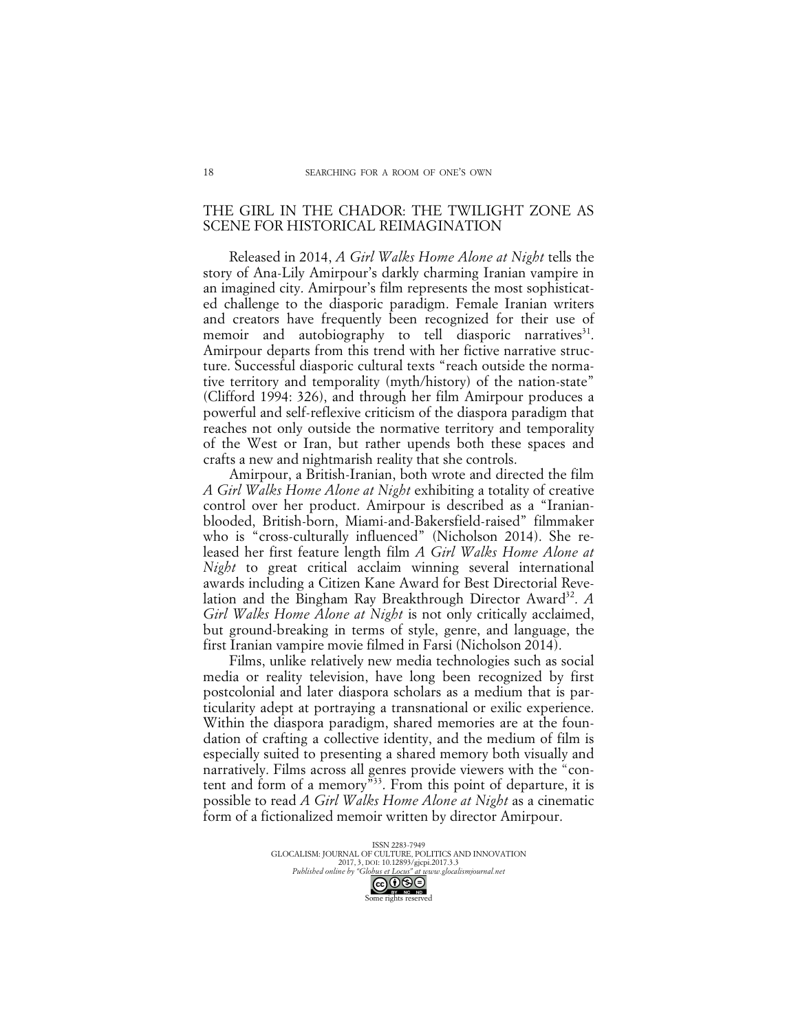### THE GIRL IN THE CHADOR: THE TWILIGHT ZONE AS SCENE FOR HISTORICAL REIMAGINATION

Released in 2014, *A Girl Walks Home Alone at Night* tells the story of Ana-Lily Amirpour's darkly charming Iranian vampire in an imagined city. Amirpour's film represents the most sophisticated challenge to the diasporic paradigm. Female Iranian writers and creators have frequently been recognized for their use of memoir and autobiography to tell diasporic narratives<sup>31</sup>. Amirpour departs from this trend with her fictive narrative structure. Successful diasporic cultural texts "reach outside the normative territory and temporality (myth/history) of the nation-state" (Clifford 1994: 326), and through her film Amirpour produces a powerful and self-reflexive criticism of the diaspora paradigm that reaches not only outside the normative territory and temporality of the West or Iran, but rather upends both these spaces and crafts a new and nightmarish reality that she controls.

Amirpour, a British-Iranian, both wrote and directed the film *A Girl Walks Home Alone at Night* exhibiting a totality of creative control over her product. Amirpour is described as a "Iranianblooded, British-born, Miami-and-Bakersfield-raised" filmmaker who is "cross-culturally influenced" (Nicholson 2014). She released her first feature length film *A Girl Walks Home Alone at Night* to great critical acclaim winning several international awards including a Citizen Kane Award for Best Directorial Revelation and the Bingham Ray Breakthrough Director Award<sup>32</sup>. *A Girl Walks Home Alone at Night* is not only critically acclaimed, but ground-breaking in terms of style, genre, and language, the first Iranian vampire movie filmed in Farsi (Nicholson 2014).

Films, unlike relatively new media technologies such as social media or reality television, have long been recognized by first postcolonial and later diaspora scholars as a medium that is particularity adept at portraying a transnational or exilic experience. Within the diaspora paradigm, shared memories are at the foundation of crafting a collective identity, and the medium of film is especially suited to presenting a shared memory both visually and narratively. Films across all genres provide viewers with the "content and form of a memory"33. From this point of departure, it is possible to read *A Girl Walks Home Alone at Night* as a cinematic form of a fictionalized memoir written by director Amirpour.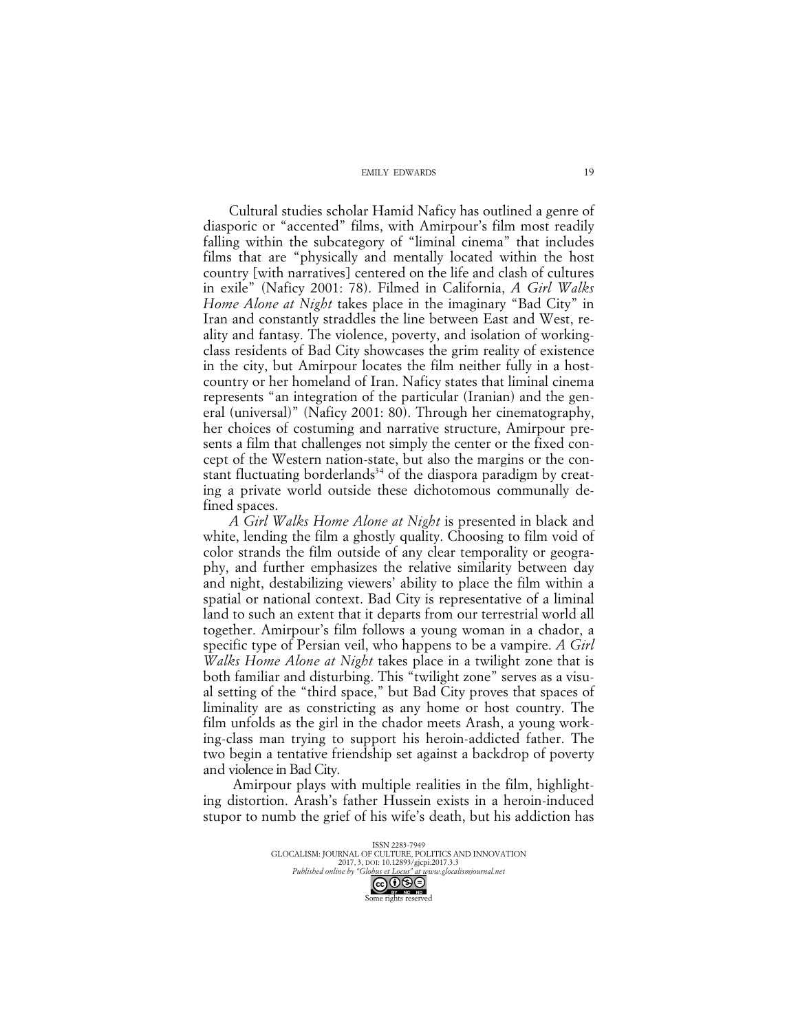Cultural studies scholar Hamid Naficy has outlined a genre of diasporic or "accented" films, with Amirpour's film most readily falling within the subcategory of "liminal cinema" that includes films that are "physically and mentally located within the host country [with narratives] centered on the life and clash of cultures in exile" (Naficy 2001: 78). Filmed in California, *A Girl Walks Home Alone at Night* takes place in the imaginary "Bad City" in Iran and constantly straddles the line between East and West, reality and fantasy. The violence, poverty, and isolation of workingclass residents of Bad City showcases the grim reality of existence in the city, but Amirpour locates the film neither fully in a hostcountry or her homeland of Iran. Naficy states that liminal cinema represents "an integration of the particular (Iranian) and the general (universal)" (Naficy 2001: 80). Through her cinematography, her choices of costuming and narrative structure, Amirpour presents a film that challenges not simply the center or the fixed concept of the Western nation-state, but also the margins or the constant fluctuating borderlands<sup>34</sup> of the diaspora paradigm by creating a private world outside these dichotomous communally defined spaces.

*A Girl Walks Home Alone at Night* is presented in black and white, lending the film a ghostly quality. Choosing to film void of color strands the film outside of any clear temporality or geography, and further emphasizes the relative similarity between day and night, destabilizing viewers' ability to place the film within a spatial or national context. Bad City is representative of a liminal land to such an extent that it departs from our terrestrial world all together. Amirpour's film follows a young woman in a chador, a specific type of Persian veil, who happens to be a vampire. *A Girl Walks Home Alone at Night* takes place in a twilight zone that is both familiar and disturbing. This "twilight zone" serves as a visual setting of the "third space," but Bad City proves that spaces of liminality are as constricting as any home or host country. The film unfolds as the girl in the chador meets Arash, a young working-class man trying to support his heroin-addicted father. The two begin a tentative friendship set against a backdrop of poverty and violence in Bad City.

Amirpour plays with multiple realities in the film, highlighting distortion. Arash's father Hussein exists in a heroin-induced stupor to numb the grief of his wife's death, but his addiction has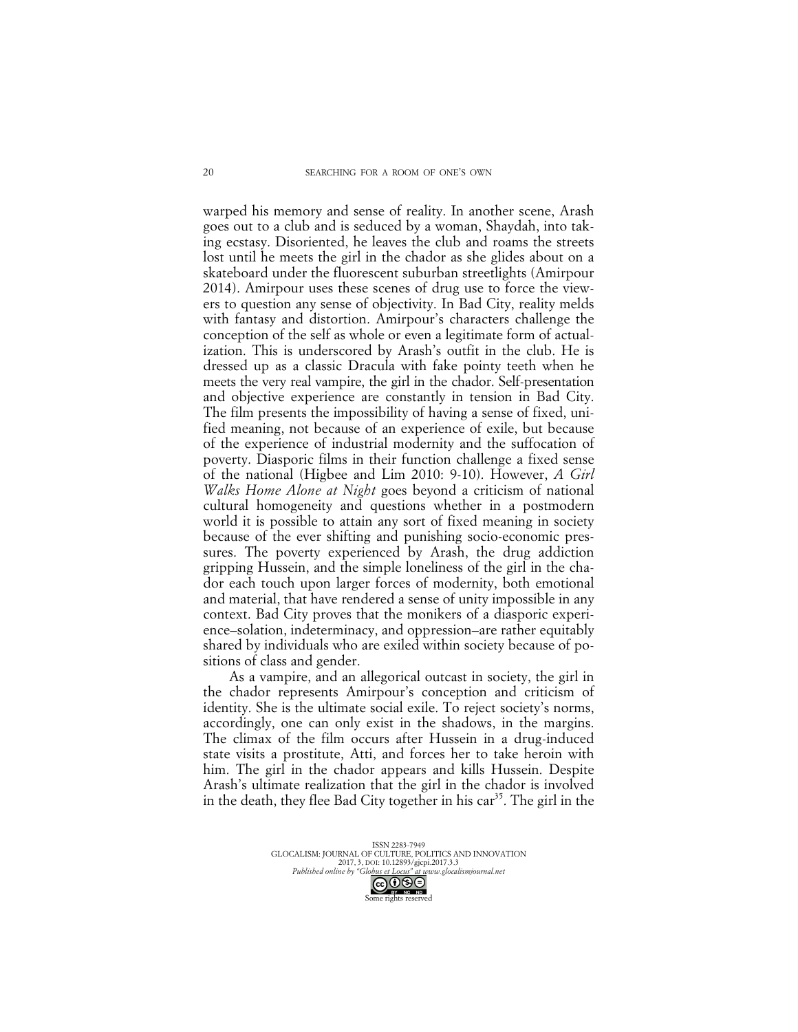warped his memory and sense of reality. In another scene, Arash goes out to a club and is seduced by a woman, Shaydah, into taking ecstasy. Disoriented, he leaves the club and roams the streets lost until he meets the girl in the chador as she glides about on a skateboard under the fluorescent suburban streetlights (Amirpour 2014). Amirpour uses these scenes of drug use to force the viewers to question any sense of objectivity. In Bad City, reality melds with fantasy and distortion. Amirpour's characters challenge the conception of the self as whole or even a legitimate form of actualization. This is underscored by Arash's outfit in the club. He is dressed up as a classic Dracula with fake pointy teeth when he meets the very real vampire, the girl in the chador. Self-presentation and objective experience are constantly in tension in Bad City. The film presents the impossibility of having a sense of fixed, unified meaning, not because of an experience of exile, but because of the experience of industrial modernity and the suffocation of poverty. Diasporic films in their function challenge a fixed sense of the national (Higbee and Lim 2010: 9-10). However, *A Girl Walks Home Alone at Night* goes beyond a criticism of national cultural homogeneity and questions whether in a postmodern world it is possible to attain any sort of fixed meaning in society because of the ever shifting and punishing socio-economic pressures. The poverty experienced by Arash, the drug addiction gripping Hussein, and the simple loneliness of the girl in the chador each touch upon larger forces of modernity, both emotional and material, that have rendered a sense of unity impossible in any context. Bad City proves that the monikers of a diasporic experience–solation, indeterminacy, and oppression–are rather equitably shared by individuals who are exiled within society because of positions of class and gender.

As a vampire, and an allegorical outcast in society, the girl in the chador represents Amirpour's conception and criticism of identity. She is the ultimate social exile. To reject society's norms, accordingly, one can only exist in the shadows, in the margins. The climax of the film occurs after Hussein in a drug-induced state visits a prostitute, Atti, and forces her to take heroin with him. The girl in the chador appears and kills Hussein. Despite Arash's ultimate realization that the girl in the chador is involved in the death, they flee Bad City together in his  $car<sup>35</sup>$ . The girl in the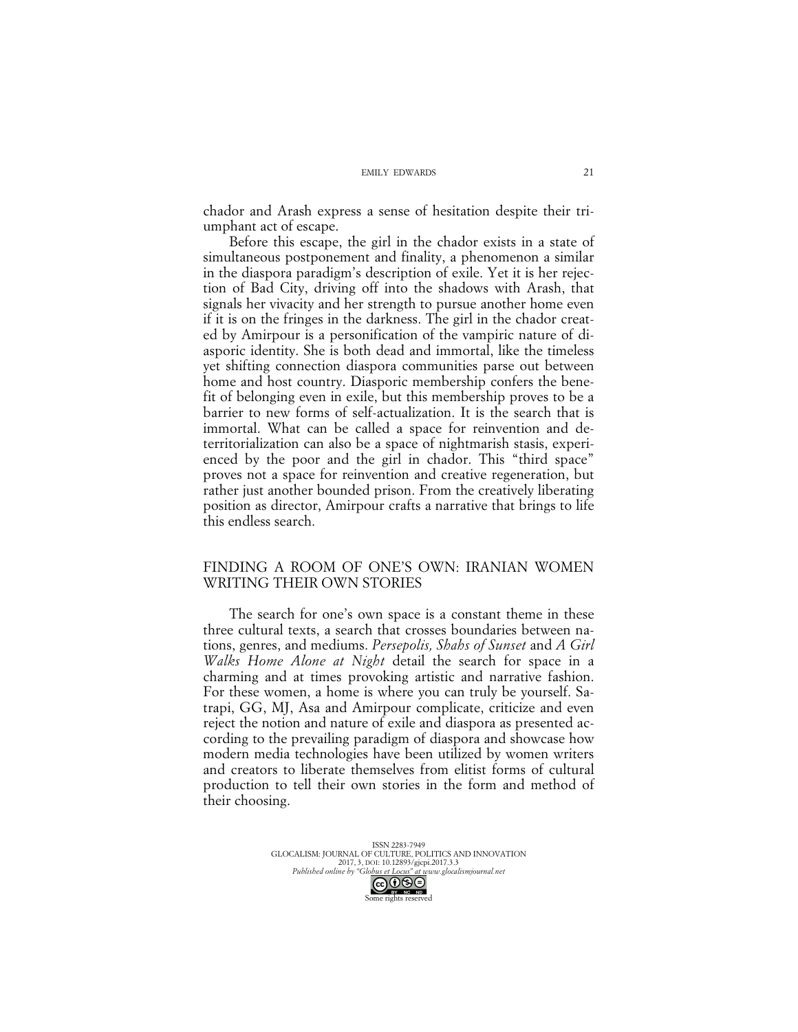chador and Arash express a sense of hesitation despite their triumphant act of escape.

Before this escape, the girl in the chador exists in a state of simultaneous postponement and finality, a phenomenon a similar in the diaspora paradigm's description of exile. Yet it is her rejection of Bad City, driving off into the shadows with Arash, that signals her vivacity and her strength to pursue another home even if it is on the fringes in the darkness. The girl in the chador created by Amirpour is a personification of the vampiric nature of diasporic identity. She is both dead and immortal, like the timeless yet shifting connection diaspora communities parse out between home and host country. Diasporic membership confers the benefit of belonging even in exile, but this membership proves to be a barrier to new forms of self-actualization. It is the search that is immortal. What can be called a space for reinvention and deterritorialization can also be a space of nightmarish stasis, experienced by the poor and the girl in chador. This "third space" proves not a space for reinvention and creative regeneration, but rather just another bounded prison. From the creatively liberating position as director, Amirpour crafts a narrative that brings to life this endless search.

### FINDING A ROOM OF ONE'S OWN: IRANIAN WOMEN WRITING THEIR OWN STORIES

The search for one's own space is a constant theme in these three cultural texts, a search that crosses boundaries between nations, genres, and mediums. *Persepolis, Shahs of Sunset* and *A Girl Walks Home Alone at Night* detail the search for space in a charming and at times provoking artistic and narrative fashion. For these women, a home is where you can truly be yourself. Satrapi, GG, MJ, Asa and Amirpour complicate, criticize and even reject the notion and nature of exile and diaspora as presented according to the prevailing paradigm of diaspora and showcase how modern media technologies have been utilized by women writers and creators to liberate themselves from elitist forms of cultural production to tell their own stories in the form and method of their choosing.

> ISSN 2283-7949 GLOCALISM: JOURNAL OF CULTURE, POLITICS AND INNOVATION 2017, 3, DOI: 10.12893/gjcpi.2017.3.3 *Published online by "Globus et Locus" at www.glocalismjournal.net*  $\bigodot$   $\bigodot$   $\bigodot$   $\bigodot$ <br>me rights reserved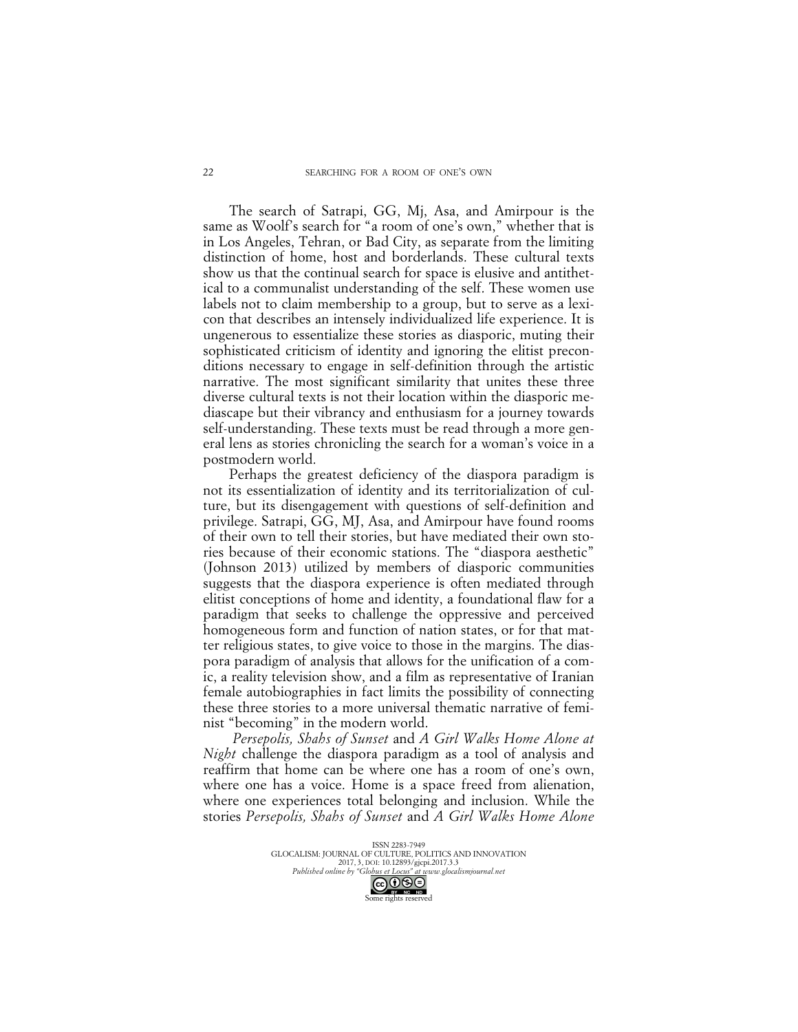The search of Satrapi, GG, Mj, Asa, and Amirpour is the same as Woolf's search for "a room of one's own," whether that is in Los Angeles, Tehran, or Bad City, as separate from the limiting distinction of home, host and borderlands. These cultural texts show us that the continual search for space is elusive and antithetical to a communalist understanding of the self. These women use labels not to claim membership to a group, but to serve as a lexicon that describes an intensely individualized life experience. It is ungenerous to essentialize these stories as diasporic, muting their sophisticated criticism of identity and ignoring the elitist preconditions necessary to engage in self-definition through the artistic narrative. The most significant similarity that unites these three diverse cultural texts is not their location within the diasporic mediascape but their vibrancy and enthusiasm for a journey towards self-understanding. These texts must be read through a more general lens as stories chronicling the search for a woman's voice in a postmodern world.

Perhaps the greatest deficiency of the diaspora paradigm is not its essentialization of identity and its territorialization of culture, but its disengagement with questions of self-definition and privilege. Satrapi, GG, MJ, Asa, and Amirpour have found rooms of their own to tell their stories, but have mediated their own stories because of their economic stations. The "diaspora aesthetic" (Johnson 2013) utilized by members of diasporic communities suggests that the diaspora experience is often mediated through elitist conceptions of home and identity, a foundational flaw for a paradigm that seeks to challenge the oppressive and perceived homogeneous form and function of nation states, or for that matter religious states, to give voice to those in the margins. The diaspora paradigm of analysis that allows for the unification of a comic, a reality television show, and a film as representative of Iranian female autobiographies in fact limits the possibility of connecting these three stories to a more universal thematic narrative of feminist "becoming" in the modern world.

*Persepolis, Shahs of Sunset* and *A Girl Walks Home Alone at Night* challenge the diaspora paradigm as a tool of analysis and reaffirm that home can be where one has a room of one's own, where one has a voice. Home is a space freed from alienation, where one experiences total belonging and inclusion. While the stories *Persepolis, Shahs of Sunset* and *A Girl Walks Home Alone*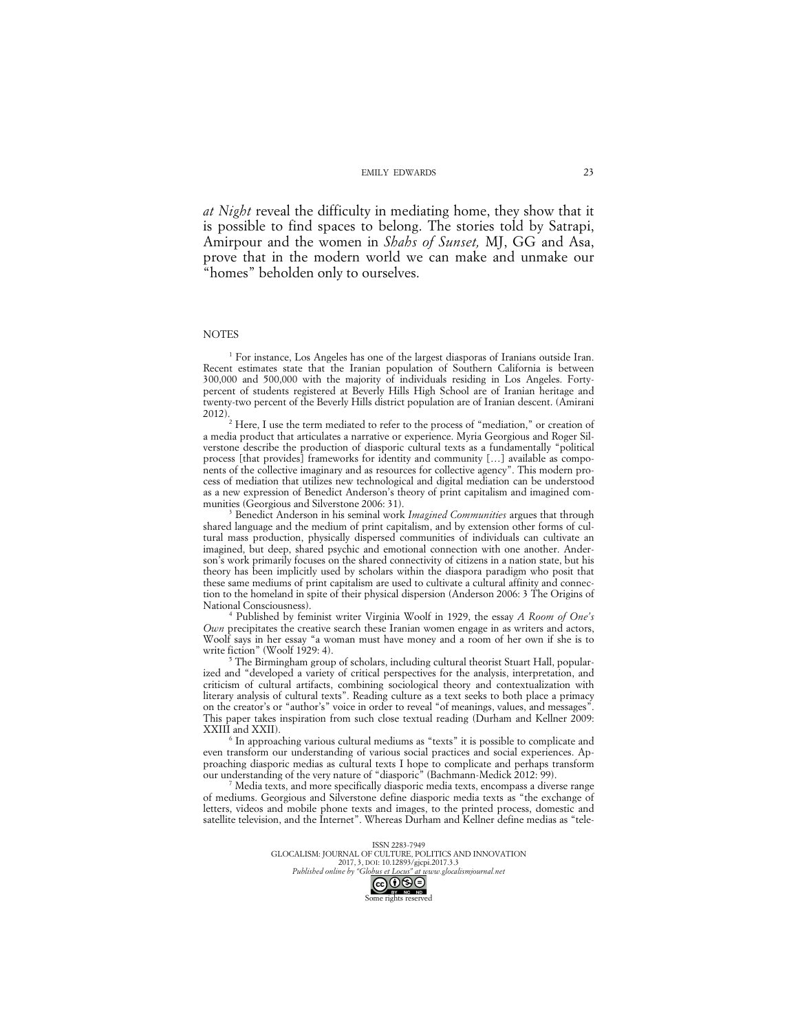*at Night* reveal the difficulty in mediating home, they show that it is possible to find spaces to belong. The stories told by Satrapi, Amirpour and the women in *Shahs of Sunset,* MJ, GG and Asa, prove that in the modern world we can make and unmake our "homes" beholden only to ourselves.

### **NOTES**

<sup>1</sup> For instance, Los Angeles has one of the largest diasporas of Iranians outside Iran. Recent estimates state that the Iranian population of Southern California is between 300,000 and 500,000 with the majority of individuals residing in Los Angeles. Fortypercent of students registered at Beverly Hills High School are of Iranian heritage and twenty-two percent of the Beverly Hills district population are of Iranian descent. (Amirani

Here, I use the term mediated to refer to the process of "mediation," or creation of a media product that articulates a narrative or experience. Myria Georgious and Roger Silverstone describe the production of diasporic cultural texts as a fundamentally "political process [that provides] frameworks for identity and community […] available as components of the collective imaginary and as resources for collective agency". This modern process of mediation that utilizes new technological and digital mediation can be understood as a new expression of Benedict Anderson's theory of print capitalism and imagined com-

munities (Georgious and Silverstone 2006: 31). 3 Benedict Anderson in his seminal work *Imagined Communities* argues that through shared language and the medium of print capitalism, and by extension other forms of cultural mass production, physically dispersed communities of individuals can cultivate an imagined, but deep, shared psychic and emotional connection with one another. Anderson's work primarily focuses on the shared connectivity of citizens in a nation state, but his theory has been implicitly used by scholars within the diaspora paradigm who posit that these same mediums of print capitalism are used to cultivate a cultural affinity and connection to the homeland in spite of their physical dispersion (Anderson 2006: 3 The Origins of National Consciousness). 4 Published by feminist writer Virginia Woolf in 1929, the essay *A Room of One's* 

*Own* precipitates the creative search these Iranian women engage in as writers and actors, Woolf says in her essay "a woman must have money and a room of her own if she is to write fiction" (Woolf 1929: 4).

<sup>5</sup> The Birmingham group of scholars, including cultural theorist Stuart Hall, popularized and "developed a variety of critical perspectives for the analysis, interpretation, and criticism of cultural artifacts, combining sociological theory and contextualization with literary analysis of cultural texts". Reading culture as a text seeks to both place a primacy on the creator's or "author's" voice in order to reveal "of meanings, values, and messages". This paper takes inspiration from such close textual reading (Durham and Kellner 2009:

 $6$  In approaching various cultural mediums as "texts" it is possible to complicate and even transform our understanding of various social practices and social experiences. Approaching diasporic medias as cultural texts I hope to complicate and perhaps transform

Media texts, and more specifically diasporic media texts, encompass a diverse range of mediums. Georgious and Silverstone define diasporic media texts as "the exchange of letters, videos and mobile phone texts and images, to the printed process, domestic and satellite television, and the Internet". Whereas Durham and Kellner define medias as "tele-

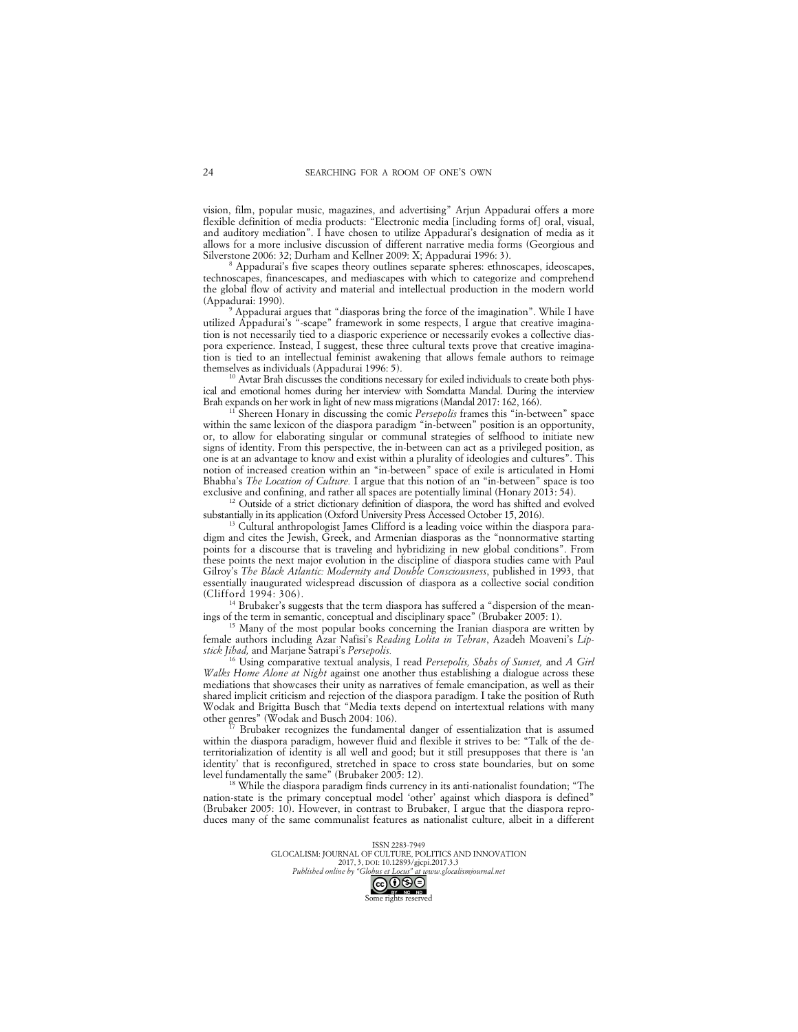vision, film, popular music, magazines, and advertising" Arjun Appadurai offers a more flexible definition of media products: "Electronic media [including forms of] oral, visual, and auditory mediation". I have chosen to utilize Appadurai's designation of media as it allows for a more inclusive discussion of different narrative media forms (Georgious and Silverstone 2006: 32; Durham and Kellner 2009: X; Appadurai 1996: 3).

Appadurai's five scapes theory outlines separate spheres: ethnoscapes, ideoscapes, technoscapes, financescapes, and mediascapes with which to categorize and comprehend the global flow of activity and material and intellectual production in the modern world

<sup>9</sup> Appadurai argues that "diasporas bring the force of the imagination". While I have utilized Appadurai's "-scape" framework in some respects, I argue that creative imagination is not necessarily tied to a diasporic experience or necessarily evokes a collective diaspora experience. Instead, I suggest, these three cultural texts prove that creative imagination is tied to an intellectual feminist awakening that allows female authors to reimage

<sup>10</sup> Avtar Brah discusses the conditions necessary for exiled individuals to create both physical and emotional homes during her interview with Somdatta Mandal. During the interview Brah expands on her work in light of new mass migrations (Mandal 2017: 162, 166).

<sup>11</sup> Shereen Honary in discussing the comic *Persepolis* frames this "in-between" space within the same lexicon of the diaspora paradigm "in-between" position is an opportunity, or, to allow for elaborating singular or communal strategies of selfhood to initiate new signs of identity. From this perspective, the in-between can act as a privileged position, as one is at an advantage to know and exist within a plurality of ideologies and cultures". This notion of increased creation within an "in-between" space of exile is articulated in Homi Bhabha's *The Location of Culture.* I argue that this notion of an "in-between" space is too

<sup>12</sup> Outside of a strict dictionary definition of diaspora, the word has shifted and evolved substantially in its application (Oxford University Press Accessed October 15, 2016).

 $13$  Cultural anthropologist James Clifford is a leading voice within the diaspora paradigm and cites the Jewish, Greek, and Armenian diasporas as the "nonnormative starting points for a discourse that is traveling and hybridizing in new global conditions". From these points the next major evolution in the discipline of diaspora studies came with Paul Gilroy's *The Black Atlantic: Modernity and Double Consciousness*, published in 1993, that essentially inaugurated widespread discussion of diaspora as a collective social condition

<sup>14</sup> Brubaker's suggests that the term diaspora has suffered a "dispersion of the meanings of the term in semantic, conceptual and disciplinary space" (Brubaker 2005: 1).

<sup>15</sup> Many of the most popular books concerning the Iranian diaspora are written by female authors including Azar Nafisi's *Reading Lolita in Tehran*, Azadeh Moaveni's *Lipstick Jihad,* and Marjane Satrapi's *Persepolis.* 

<sup>16</sup> Using comparative textual analysis, I read *Persepolis, Shahs of Sunset,* and *A Girl Walks Home Alone at Night* against one another thus establishing a dialogue across these mediations that showcases their unity as narratives of female emancipation, as well as their shared implicit criticism and rejection of the diaspora paradigm. I take the position of Ruth Wodak and Brigitta Busch that "Media texts depend on intertextual relations with many other genres" (Wodak and Busch 2004: 106).

Brubaker recognizes the fundamental danger of essentialization that is assumed within the diaspora paradigm, however fluid and flexible it strives to be: "Talk of the deterritorialization of identity is all well and good; but it still presupposes that there is 'an identity' that is reconfigured, stretched in space to cross state boundaries, but on some level fundamentally the same" (Brubaker 2005: 12).

<sup>18</sup> While the diaspora paradigm finds currency in its anti-nationalist foundation; "The nation-state is the primary conceptual model 'other' against which diaspora is defined" (Brubaker 2005: 10). However, in contrast to Brubaker, I argue that the diaspora reproduces many of the same communalist features as nationalist culture, albeit in a different

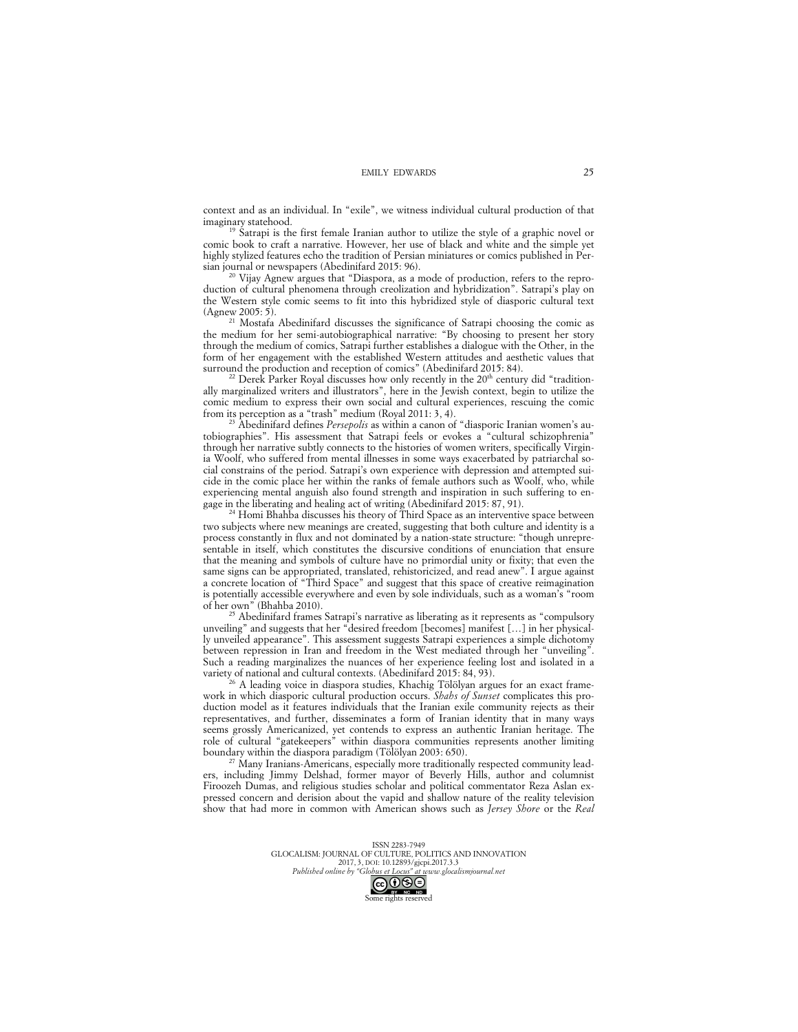context and as an individual. In "exile", we witness individual cultural production of that

<sup>19</sup> Satrapi is the first female Iranian author to utilize the style of a graphic novel or comic book to craft a narrative. However, her use of black and white and the simple yet highly stylized features echo the tradition of Persian miniatures or comics published in Per-

sian journal or newspapers (Abedinifard 2015: 96). 20 Vijay Agnew argues that "Diaspora, as a mode of production, refers to the reproduction of cultural phenomena through creolization and hybridization". Satrapi's play on the Western style comic seems to fit into this hybridized style of diasporic cultural text (Agnew 2005: 5).<br><sup>21</sup> Mostafa Abedinifard discusses the significance of Satrapi choosing the comic as

the medium for her semi-autobiographical narrative: "By choosing to present her story through the medium of comics, Satrapi further establishes a dialogue with the Other, in the form of her engagement with the established Western attitudes and aesthetic values that surround the production and reception of comics" (Abedinifard 2015: 84).

 $^{22}$  Derek Parker Royal discusses how only recently in the  $20<sup>th</sup>$  century did "traditionally marginalized writers and illustrators", here in the Jewish context, begin to utilize the comic medium to express their own social and cultural experiences, rescuing the comic from its perception as a "trash" medium (Royal 2011: 3, 4).

<sup>23</sup> Abedinifard defines *Persepolis* as within a canon of "diasporic Iranian women's autobiographies". His assessment that Satrapi feels or evokes a "cultural schizophrenia" through her narrative subtly connects to the histories of women writers, specifically Virginia Woolf, who suffered from mental illnesses in some ways exacerbated by patriarchal social constrains of the period. Satrapi's own experience with depression and attempted suicide in the comic place her within the ranks of female authors such as Woolf, who, while experiencing mental anguish also found strength and inspiration in such suffering to engage in the liberating and healing act of writing (Abedinifard 2015: 87, 91).<br><sup>24</sup> Homi Bhahba discusses his theory of Third Space as an interventive space between

two subjects where new meanings are created, suggesting that both culture and identity is a process constantly in flux and not dominated by a nation-state structure: "though unrepresentable in itself, which constitutes the discursive conditions of enunciation that ensure that the meaning and symbols of culture have no primordial unity or fixity; that even the same signs can be appropriated, translated, rehistoricized, and read anew". I argue against a concrete location of "Third Space" and suggest that this space of creative reimagination is potentially accessible everywhere and even by sole individuals, such as a woman's "room

 $25$  Abedinifard frames Satrapi's narrative as liberating as it represents as "compulsory unveiling" and suggests that her "desired freedom [becomes] manifest […] in her physically unveiled appearance". This assessment suggests Satrapi experiences a simple dichotomy between repression in Iran and freedom in the West mediated through her "unveiling". Such a reading marginalizes the nuances of her experience feeling lost and isolated in a variety of national and cultural contexts. (Abedinifard 2015: 84, 93).

<sup>26</sup> A leading voice in diaspora studies, Khachig Tölölyan argues for an exact framework in which diasporic cultural production occurs. *Shahs of Sunset* complicates this production model as it features individuals that the Iranian exile community rejects as their representatives, and further, disseminates a form of Iranian identity that in many ways seems grossly Americanized, yet contends to express an authentic Iranian heritage. The role of cultural "gatekeepers" within diaspora communities represents another limiting boundary within the diaspora paradigm (Tölölyan 2003: 650).<br><sup>27</sup> Many Iranians-Americans, especially more traditionally respected community lead-

ers, including Jimmy Delshad, former mayor of Beverly Hills, author and columnist Firoozeh Dumas, and religious studies scholar and political commentator Reza Aslan expressed concern and derision about the vapid and shallow nature of the reality television show that had more in common with American shows such as *Jersey Shore* or the *Real* 

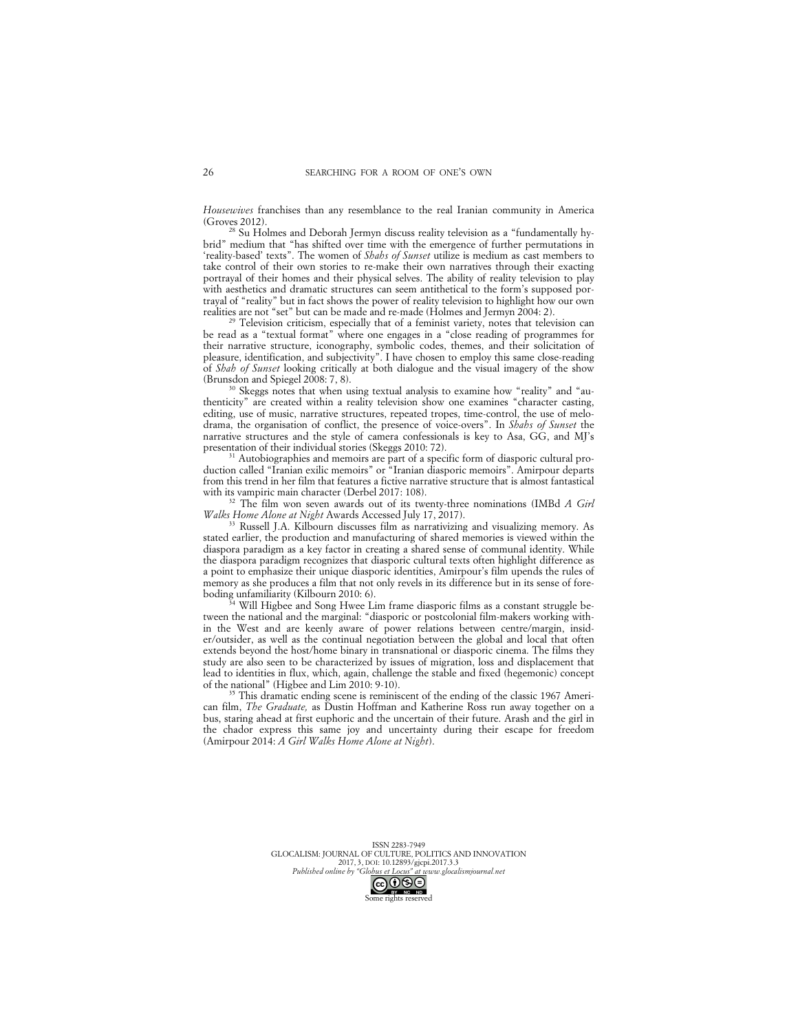*Housewives* franchises than any resemblance to the real Iranian community in America

<sup>28</sup> Su Holmes and Deborah Jermyn discuss reality television as a "fundamentally hybrid" medium that "has shifted over time with the emergence of further permutations in 'reality-based' texts". The women of *Shahs of Sunset* utilize is medium as cast members to take control of their own stories to re-make their own narratives through their exacting portrayal of their homes and their physical selves. The ability of reality television to play with aesthetics and dramatic structures can seem antithetical to the form's supposed portrayal of "reality" but in fact shows the power of reality television to highlight how our own realities are not "set" but can be made and re-made (Holmes and Jermyn 2004: 2).

Television criticism, especially that of a feminist variety, notes that television can be read as a "textual format" where one engages in a "close reading of programmes for their narrative structure, iconography, symbolic codes, themes, and their solicitation of pleasure, identification, and subjectivity". I have chosen to employ this same close-reading of *Shah of Sunset* looking critically at both dialogue and the visual imagery of the show (Brunsdon and Spiegel 2008: 7, 8).

<sup>30</sup> Skeggs notes that when using textual analysis to examine how "reality" and "authenticity" are created within a reality television show one examines "character casting, editing, use of music, narrative structures, repeated tropes, time-control, the use of melodrama, the organisation of conflict, the presence of voice-overs". In *Shahs of Sunset* the narrative structures and the style of camera confessionals is key to Asa, GG, and MJ's presentation of their individual stories (Skeggs 2010: 72).

<sup>31</sup> Autobiographies and memoirs are part of a specific form of diasporic cultural production called "Iranian exilic memoirs" or "Iranian diasporic memoirs". Amirpour departs from this trend in her film that features a fictive narrative structure that is almost fantastical with its vampiric main character (Derbel 2017: 108).

<sup>32</sup> The film won seven awards out of its twenty-three nominations (IMBd *A Girl Walks Home Alone at Night* Awards Accessed July 17, 2017).

<sup>33</sup> Russell J.A. Kilbourn discusses film as narrativizing and visualizing memory. As stated earlier, the production and manufacturing of shared memories is viewed within the diaspora paradigm as a key factor in creating a shared sense of communal identity. While the diaspora paradigm recognizes that diasporic cultural texts often highlight difference as a point to emphasize their unique diasporic identities, Amirpour's film upends the rules of memory as she produces a film that not only revels in its difference but in its sense of foreboding unfamiliarity (Kilbourn 2010: 6).

Will Higbee and Song Hwee Lim frame diasporic films as a constant struggle between the national and the marginal: "diasporic or postcolonial film-makers working within the West and are keenly aware of power relations between centre/margin, insider/outsider, as well as the continual negotiation between the global and local that often extends beyond the host/home binary in transnational or diasporic cinema. The films they study are also seen to be characterized by issues of migration, loss and displacement that lead to identities in flux, which, again, challenge the stable and fixed (hegemonic) concept of the national" (Higbee and Lim 2010: 9-10).

This dramatic ending scene is reminiscent of the ending of the classic 1967 American film, *The Graduate,* as Dustin Hoffman and Katherine Ross run away together on a bus, staring ahead at first euphoric and the uncertain of their future. Arash and the girl in the chador express this same joy and uncertainty during their escape for freedom (Amirpour 2014: *A Girl Walks Home Alone at Night*).

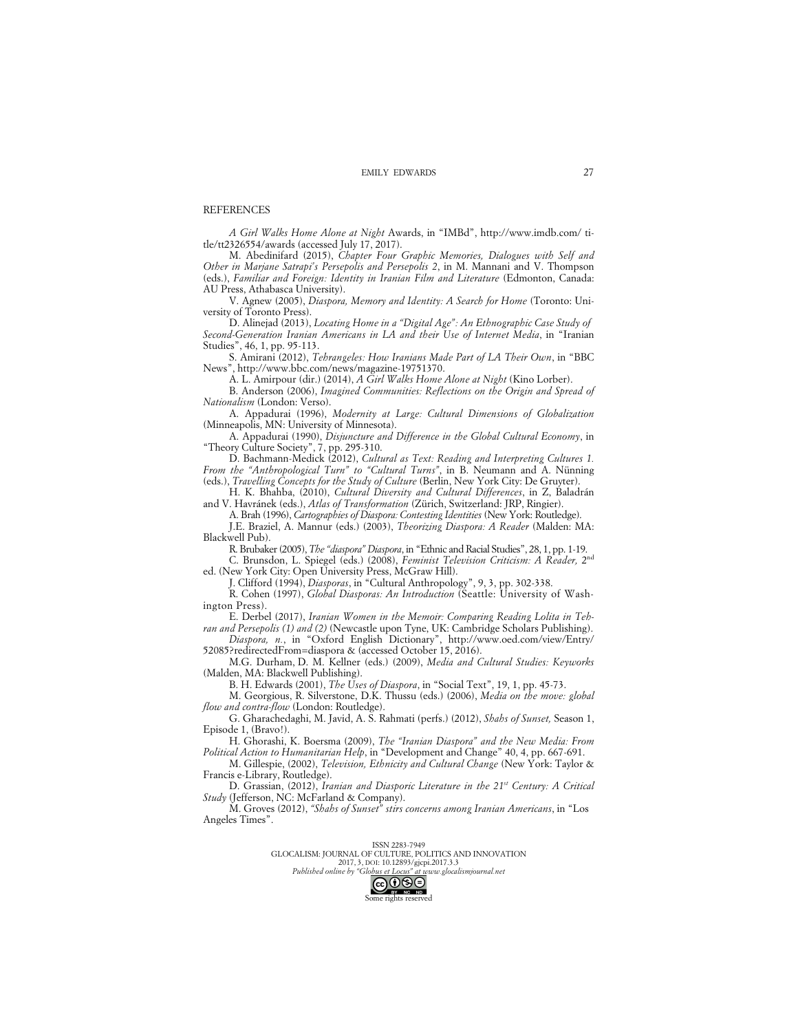### REFERENCES

*A Girl Walks Home Alone at Night* Awards, in "IMBd", http://www.imdb.com/ title/tt2326554/awards (accessed July 17, 2017).

M. Abedinifard (2015), *Chapter Four Graphic Memories, Dialogues with Self and Other in Marjane Satrapi's Persepolis and Persepolis 2*, in M. Mannani and V. Thompson (eds.), *Familiar and Foreign: Identity in Iranian Film and Literature* (Edmonton, Canada: AU Press, Athabasca University).

V. Agnew (2005), *Diaspora, Memory and Identity: A Search for Home* (Toronto: University of Toronto Press).

D. Alinejad (2013), *Locating Home in a "Digital Age": An Ethnographic Case Study of Second-Generation Iranian Americans in LA and their Use of Internet Media*, in "Iranian Studies", 46, 1, pp. 95-113.

S. Amirani (2012), *Tehrangeles: How Iranians Made Part of LA Their Own*, in "BBC News", http://www.bbc.com/news/magazine-19751370.

A. L. Amirpour (dir.) (2014), *A Girl Walks Home Alone at Night* (Kino Lorber).

B. Anderson (2006), *Imagined Communities: Reflections on the Origin and Spread of Nationalism* (London: Verso).

A. Appadurai (1996), *Modernity at Large: Cultural Dimensions of Globalization*  (Minneapolis, MN: University of Minnesota).

A. Appadurai (1990), *Disjuncture and Difference in the Global Cultural Economy*, in "Theory Culture Society", 7, pp. 295-310.

D. Bachmann-Medick (2012), *Cultural as Text: Reading and Interpreting Cultures 1. From the "Anthropological Turn" to "Cultural Turns"*, in B. Neumann and A. Nünning (eds.), *Travelling Concepts for the Study of Culture* (Berlin, New York City: De Gruyter).

H. K. Bhahba, (2010), *Cultural Diversity and Cultural Differences*, in Z, Baladrán and V. Havránek (eds.), *Atlas of Transformation* (Zürich, Switzerland: JRP, Ringier).

A. Brah (1996), *Cartographies of Diaspora: Contesting Identities* (New York: Routledge).

J.E. Braziel, A. Mannur (eds.) (2003), *Theorizing Diaspora: A Reader* (Malden: MA: Blackwell Pub).

R. Brubaker (2005), *The "diaspora" Diaspora*, in "Ethnic and Racial Studies", 28, 1, pp. 1-19. C. Brunsdon, L. Spiegel (eds.) (2008), *Feminist Television Criticism: A Reader,* 2nd

ed. (New York City: Open University Press, McGraw Hill).

J. Clifford (1994), *Diasporas*, in "Cultural Anthropology", 9, 3, pp. 302-338.

R. Cohen (1997), *Global Diasporas: An Introduction* (Seattle: University of Washington Press).

E. Derbel (2017), *Iranian Women in the Memoir: Comparing Reading Lolita in Teh-*

*ran and Persepolis (1) and (2)* (Newcastle upon Tyne, UK: Cambridge Scholars Publishing). *Diaspora, n.*, in "Oxford English Dictionary", http://www.oed.com/view/Entry/ 52085?redirectedFrom=diaspora & (accessed October 15, 2016).

M.G. Durham, D. M. Kellner (eds.) (2009), *Media and Cultural Studies: Keyworks* (Malden, MA: Blackwell Publishing).

B. H. Edwards (2001), *The Uses of Diaspora*, in "Social Text", 19, 1, pp. 45-73.

M. Georgious, R. Silverstone, D.K. Thussu (eds.) (2006), *Media on the move: global flow and contra-flow* (London: Routledge).

G. Gharachedaghi, M. Javid, A. S. Rahmati (perfs.) (2012), *Shahs of Sunset,* Season 1, Episode 1, (Bravo!).

H. Ghorashi, K. Boersma (2009), *The "Iranian Diaspora" and the New Media: From Political Action to Humanitarian Help*, in "Development and Change" 40, 4, pp. 667-691.

M. Gillespie, (2002), *Television, Ethnicity and Cultural Change* (New York: Taylor & Francis e-Library, Routledge).

D. Grassian, (2012), *Iranian and Diasporic Literature in the 21st Century: A Critical Study* (Jefferson, NC: McFarland & Company).

M. Groves (2012), *"Shahs of Sunset" stirs concerns among Iranian Americans*, in "Los Angeles Times".

ISSN 2283-7949

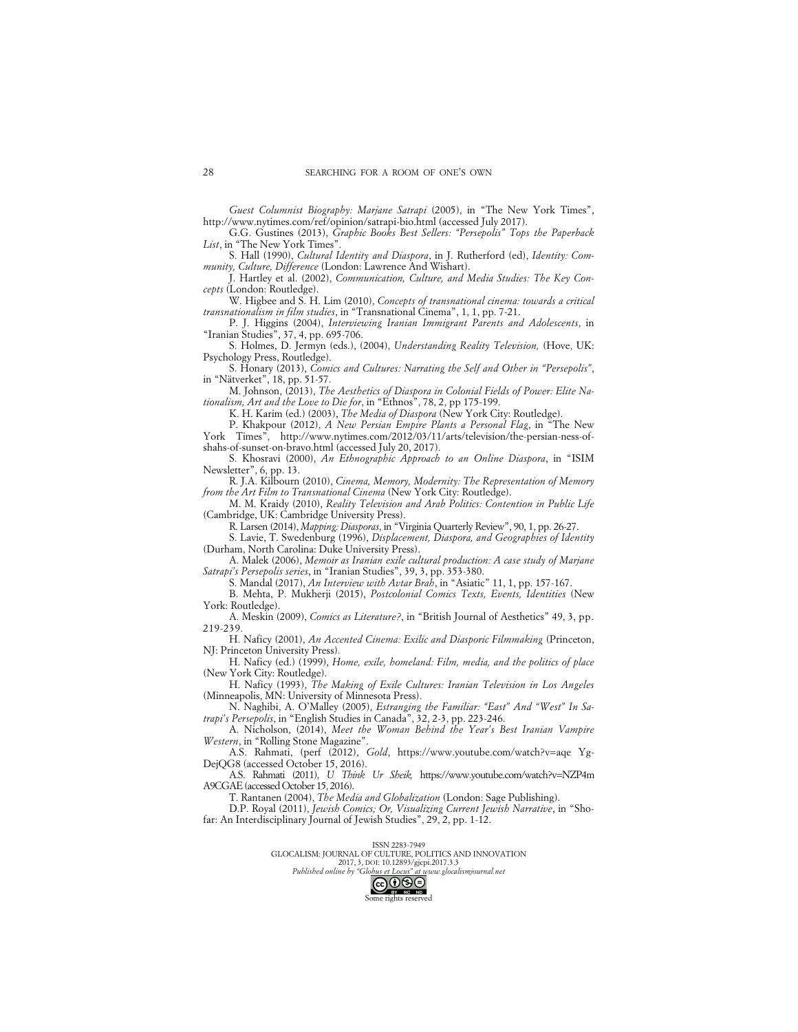*Guest Columnist Biography: Marjane Satrapi* (2005), in "The New York Times", http://www.nytimes.com/ref/opinion/satrapi-bio.html (accessed July 2017).

G.G. Gustines (2013), *Graphic Books Best Sellers: "Persepolis" Tops the Paperback*  List, in "The New York Times"

S. Hall (1990), *Cultural Identity and Diaspora*, in J. Rutherford (ed), *Identity: Community, Culture, Difference* (London: Lawrence And Wishart).

J. Hartley et al. (2002), *Communication, Culture, and Media Studies: The Key Concepts* (London: Routledge).

W. Higbee and S. H. Lim (2010), *Concepts of transnational cinema: towards a critical transnationalism in film studies*, in "Transnational Cinema", 1, 1, pp. 7-21.

P. J. Higgins (2004), *Interviewing Iranian Immigrant Parents and Adolescents*, in "Iranian Studies", 37, 4, pp. 695-706.

S. Holmes, D. Jermyn (eds.), (2004), *Understanding Reality Television,* (Hove, UK: Psychology Press, Routledge).

S. Honary (2013), *Comics and Cultures: Narrating the Self and Other in "Persepolis"*, in "Nätverket", 18, pp. 51-57.

M. Johnson, (2013), *The Aesthetics of Diaspora in Colonial Fields of Power: Elite Nationalism, Art and the Love to Die for*, in "Ethnos", 78, 2, pp 175-199.

K. H. Karim (ed.) (2003), *The Media of Diaspora* (New York City: Routledge).

P. Khakpour (2012), *A New Persian Empire Plants a Personal Flag*, in "The New York Times", http://www.nytimes.com/2012/03/11/arts/television/the-persian-ness-ofshahs-of-sunset-on-bravo.html (accessed July 20, 2017).

S. Khosravi (2000), *An Ethnographic Approach to an Online Diaspora*, in "ISIM Newsletter", 6, pp. 13.

R. J.A. Kilbourn (2010), *Cinema, Memory, Modernity: The Representation of Memory from the Art Film to Transnational Cinema* (New York City: Routledge).

M. M. Kraidy (2010), *Reality Television and Arab Politics: Contention in Public Life*  (Cambridge, UK: Cambridge University Press).

R. Larsen (2014), *Mapping: Diasporas*, in "Virginia Quarterly Review", 90, 1, pp. 26-27.

S. Lavie, T. Swedenburg (1996), *Displacement, Diaspora, and Geographies of Identity* (Durham, North Carolina: Duke University Press).

A. Malek (2006), *Memoir as Iranian exile cultural production: A case study of Marjane Satrapi's Persepolis series*, in "Iranian Studies", 39, 3, pp. 353-380.

S. Mandal (2017), *An Interview with Avtar Brah*, in "Asiatic" 11, 1, pp. 157-167.

B. Mehta, P. Mukherji (2015), *Postcolonial Comics Texts, Events, Identities* (New York: Routledge).

A. Meskin (2009), *Comics as Literature?*, in "British Journal of Aesthetics" 49, 3, pp. 219-239.

H. Naficy (2001), *An Accented Cinema: Exilic and Diasporic Filmmaking* (Princeton, NJ: Princeton University Press).

H. Naficy (ed.) (1999), *Home, exile, homeland: Film, media, and the politics of place* (New York City: Routledge).

H. Naficy (1993), *The Making of Exile Cultures: Iranian Television in Los Angeles*  (Minneapolis, MN: University of Minnesota Press).

N. Naghibi, A. O'Malley (2005), *Estranging the Familiar: "East" And "West" In Satrapi's Persepolis*, in "English Studies in Canada", 32, 2-3, pp. 223-246.

A. Nicholson, (2014), *Meet the Woman Behind the Year's Best Iranian Vampire Western*, in "Rolling Stone Magazine".

A.S. Rahmati, (perf (2012), *Gold*, https://www.youtube.com/watch?v=aqe Yg-DejQG8 (accessed October 15, 2016).

A.S. Rahmati (2011), *U Think Ur Sheik,* https://www.youtube.com/watch?v=NZP4m A9CGAE (accessed October 15, 2016).

T. Rantanen (2004), *The Media and Globalization* (London: Sage Publishing).

D.P. Royal (2011), *Jewish Comics; Or, Visualizing Current Jewish Narrative*, in "Shofar: An Interdisciplinary Journal of Jewish Studies", 29, 2, pp. 1-12.



2017, 3, DOI: 10.12893/gjcpi.2017.3.3 *Published online by "Globus et Locus" at www.glocalismjournal.net*